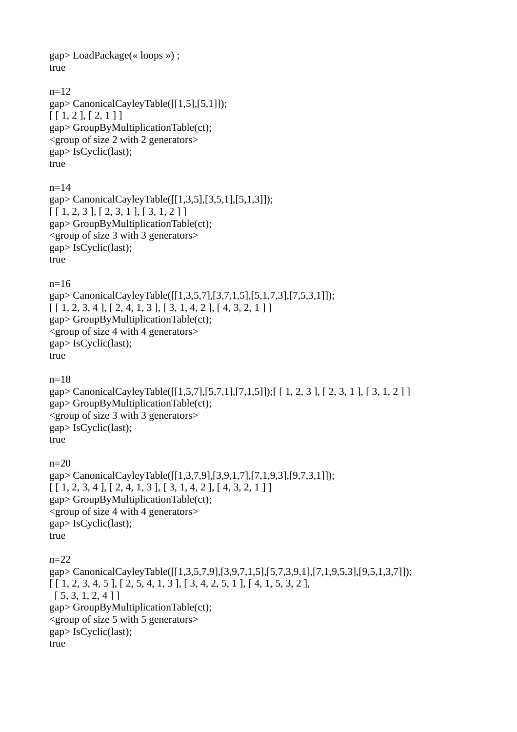gap> LoadPackage(« loops ») ; true n=12 gap> CanonicalCayleyTable([[1,5],[5,1]]);  $[ [ 1, 2 ], [ 2, 1 ] ]$ gap> GroupByMultiplicationTable(ct); <group of size 2 with 2 generators> gap> IsCyclic(last); true  $n=14$ gap> CanonicalCayleyTable([[1,3,5],[3,5,1],[5,1,3]]);  $[ [ 1, 2, 3 ], [ 2, 3, 1 ], [ 3, 1, 2 ] ]$ gap> GroupByMultiplicationTable(ct); <group of size 3 with 3 generators> gap> IsCyclic(last); true n=16 gap> CanonicalCayleyTable([[1,3,5,7],[3,7,1,5],[5,1,7,3],[7,5,3,1]]);  $[ [ 1, 2, 3, 4 ], [ 2, 4, 1, 3 ], [ 3, 1, 4, 2 ], [ 4, 3, 2, 1 ] ]$ gap> GroupByMultiplicationTable(ct); <group of size 4 with 4 generators> gap> IsCyclic(last); true n=18 gap> CanonicalCayleyTable([[1,5,7],[5,7,1],[7,1,5]]);[ [ 1, 2, 3 ], [ 2, 3, 1 ], [ 3, 1, 2 ] ] gap> GroupByMultiplicationTable(ct); <group of size 3 with 3 generators> gap> IsCyclic(last); true  $n=20$ gap> CanonicalCayleyTable([[1,3,7,9],[3,9,1,7],[7,1,9,3],[9,7,3,1]]);  $[ [ 1, 2, 3, 4 ], [ 2, 4, 1, 3 ], [ 3, 1, 4, 2 ], [ 4, 3, 2, 1 ] ]$ gap> GroupByMultiplicationTable(ct); <group of size 4 with 4 generators> gap> IsCyclic(last); true n=22 gap> CanonicalCayleyTable([[1,3,5,7,9],[3,9,7,1,5],[5,7,3,9,1],[7,1,9,5,3],[9,5,1,3,7]]);  $[ [ 1, 2, 3, 4, 5 ], [ 2, 5, 4, 1, 3 ], [ 3, 4, 2, 5, 1 ], [ 4, 1, 5, 3, 2 ],$  [ 5, 3, 1, 2, 4 ] ] gap> GroupByMultiplicationTable(ct); <group of size 5 with 5 generators> gap> IsCyclic(last); true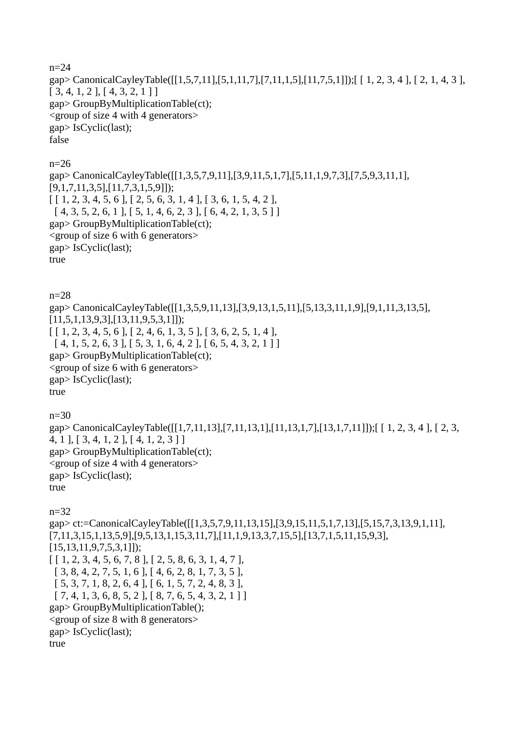n=24 gap> CanonicalCayleyTable([[1,5,7,11],[5,1,11,7],[7,11,1,5],[11,7,5,1]]);[ [ 1, 2, 3, 4 ], [ 2, 1, 4, 3 ], [ 3, 4, 1, 2 ], [ 4, 3, 2, 1 ] ] gap> GroupByMultiplicationTable(ct); <group of size 4 with 4 generators> gap> IsCyclic(last); false

n=26

gap> CanonicalCayleyTable([[1,3,5,7,9,11],[3,9,11,5,1,7],[5,11,1,9,7,3],[7,5,9,3,11,1], [9,1,7,11,3,5],[11,7,3,1,5,9]]);  $[ [ 1, 2, 3, 4, 5, 6 ], [ 2, 5, 6, 3, 1, 4 ], [ 3, 6, 1, 5, 4, 2 ],$  $[4, 3, 5, 2, 6, 1], [5, 1, 4, 6, 2, 3], [6, 4, 2, 1, 3, 5]$ gap> GroupByMultiplicationTable(ct); <group of size 6 with 6 generators> gap> IsCyclic(last); true

n=28 gap> CanonicalCayleyTable([[1,3,5,9,11,13],[3,9,13,1,5,11],[5,13,3,11,1,9],[9,1,11,3,13,5], [11,5,1,13,9,3],[13,11,9,5,3,1]]);  $[ [ 1, 2, 3, 4, 5, 6 ], [ 2, 4, 6, 1, 3, 5 ], [ 3, 6, 2, 5, 1, 4 ],$  $[ 4, 1, 5, 2, 6, 3 ], [ 5, 3, 1, 6, 4, 2 ], [ 6, 5, 4, 3, 2, 1 ] ]$ gap> GroupByMultiplicationTable(ct); <group of size 6 with 6 generators> gap> IsCyclic(last); true

n=30

gap> CanonicalCayleyTable([[1,7,11,13],[7,11,13,1],[11,13,1,7],[13,1,7,11]]);[ [ 1, 2, 3, 4 ], [ 2, 3, 4, 1 ], [ 3, 4, 1, 2 ], [ 4, 1, 2, 3 ] ] gap> GroupByMultiplicationTable(ct); <group of size 4 with 4 generators> gap> IsCyclic(last); true

n=32

gap> ct:=CanonicalCayleyTable([[1,3,5,7,9,11,13,15],[3,9,15,11,5,1,7,13],[5,15,7,3,13,9,1,11], [7,11,3,15,1,13,5,9],[9,5,13,1,15,3,11,7],[11,1,9,13,3,7,15,5],[13,7,1,5,11,15,9,3], [15,13,11,9,7,5,3,1]]);  $[ [ 1, 2, 3, 4, 5, 6, 7, 8 ], [ 2, 5, 8, 6, 3, 1, 4, 7 ],$  [ 3, 8, 4, 2, 7, 5, 1, 6 ], [ 4, 6, 2, 8, 1, 7, 3, 5 ], [ 5, 3, 7, 1, 8, 2, 6, 4 ], [ 6, 1, 5, 7, 2, 4, 8, 3 ],  $[ 7, 4, 1, 3, 6, 8, 5, 2 ], [ 8, 7, 6, 5, 4, 3, 2, 1 ] ]$ gap> GroupByMultiplicationTable(); <group of size 8 with 8 generators> gap> IsCyclic(last); true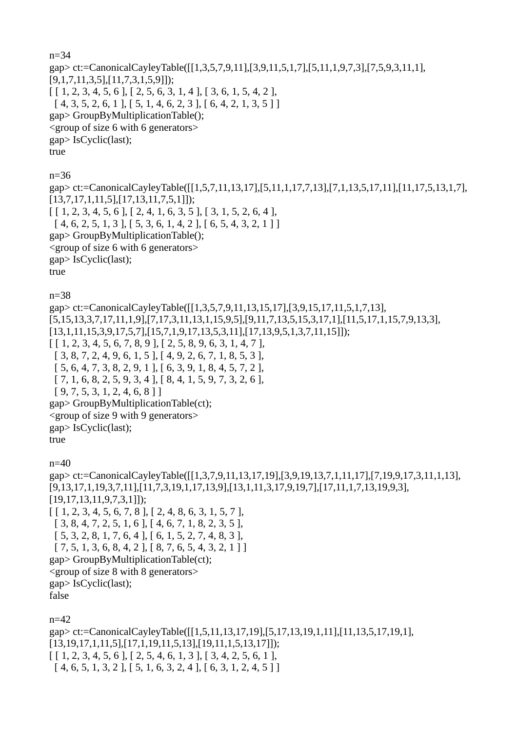n=34 gap> ct:=CanonicalCayleyTable([[1,3,5,7,9,11],[3,9,11,5,1,7],[5,11,1,9,7,3],[7,5,9,3,11,1], [9,1,7,11,3,5],[11,7,3,1,5,9]]);  $[ [ 1, 2, 3, 4, 5, 6 ], [ 2, 5, 6, 3, 1, 4 ], [ 3, 6, 1, 5, 4, 2 ],$  $[ 4, 3, 5, 2, 6, 1 ], [ 5, 1, 4, 6, 2, 3 ], [ 6, 4, 2, 1, 3, 5 ] ]$ gap> GroupByMultiplicationTable(); <group of size 6 with 6 generators> gap> IsCyclic(last); true n=36

gap> ct:=CanonicalCayleyTable([[1,5,7,11,13,17],[5,11,1,17,7,13],[7,1,13,5,17,11],[11,17,5,13,1,7], [13,7,17,1,11,5],[17,13,11,7,5,1]]);  $[ [ 1, 2, 3, 4, 5, 6 ], [ 2, 4, 1, 6, 3, 5 ], [ 3, 1, 5, 2, 6, 4 ],$  $[ 4, 6, 2, 5, 1, 3 ], [ 5, 3, 6, 1, 4, 2 ], [ 6, 5, 4, 3, 2, 1 ] ]$ gap> GroupByMultiplicationTable(); <group of size 6 with 6 generators> gap> IsCyclic(last); true

n=38

gap> ct:=CanonicalCayleyTable([[1,3,5,7,9,11,13,15,17],[3,9,15,17,11,5,1,7,13], [5,15,13,3,7,17,11,1,9],[7,17,3,11,13,1,15,9,5],[9,11,7,13,5,15,3,17,1],[11,5,17,1,15,7,9,13,3], [13,1,11,15,3,9,17,5,7],[15,7,1,9,17,13,5,3,11],[17,13,9,5,1,3,7,11,15]]);  $[ [ 1, 2, 3, 4, 5, 6, 7, 8, 9 ], [ 2, 5, 8, 9, 6, 3, 1, 4, 7 ],$  [ 3, 8, 7, 2, 4, 9, 6, 1, 5 ], [ 4, 9, 2, 6, 7, 1, 8, 5, 3 ], [ 5, 6, 4, 7, 3, 8, 2, 9, 1 ], [ 6, 3, 9, 1, 8, 4, 5, 7, 2 ], [ 7, 1, 6, 8, 2, 5, 9, 3, 4 ], [ 8, 4, 1, 5, 9, 7, 3, 2, 6 ], [ 9, 7, 5, 3, 1, 2, 4, 6, 8 ] ] gap> GroupByMultiplicationTable(ct); <group of size 9 with 9 generators> gap> IsCyclic(last); true  $n=40$ gap> ct:=CanonicalCayleyTable([[1,3,7,9,11,13,17,19],[3,9,19,13,7,1,11,17],[7,19,9,17,3,11,1,13], [9,13,17,1,19,3,7,11],[11,7,3,19,1,17,13,9],[13,1,11,3,17,9,19,7],[17,11,1,7,13,19,9,3], [19,17,13,11,9,7,3,1]]);  $[ [ 1, 2, 3, 4, 5, 6, 7, 8 ], [ 2, 4, 8, 6, 3, 1, 5, 7 ],$  [ 3, 8, 4, 7, 2, 5, 1, 6 ], [ 4, 6, 7, 1, 8, 2, 3, 5 ], [ 5, 3, 2, 8, 1, 7, 6, 4 ], [ 6, 1, 5, 2, 7, 4, 8, 3 ],  $[ 7, 5, 1, 3, 6, 8, 4, 2 ], [ 8, 7, 6, 5, 4, 3, 2, 1 ] ]$ gap> GroupByMultiplicationTable(ct); <group of size 8 with 8 generators> gap> IsCyclic(last); false  $n=42$ 

gap> ct:=CanonicalCayleyTable([[1,5,11,13,17,19],[5,17,13,19,1,11],[11,13,5,17,19,1], [13,19,17,1,11,5],[17,1,19,11,5,13],[19,11,1,5,13,17]]);  $[ [ 1, 2, 3, 4, 5, 6 ], [ 2, 5, 4, 6, 1, 3 ], [ 3, 4, 2, 5, 6, 1 ],$  $[4, 6, 5, 1, 3, 2], [5, 1, 6, 3, 2, 4], [6, 3, 1, 2, 4, 5]$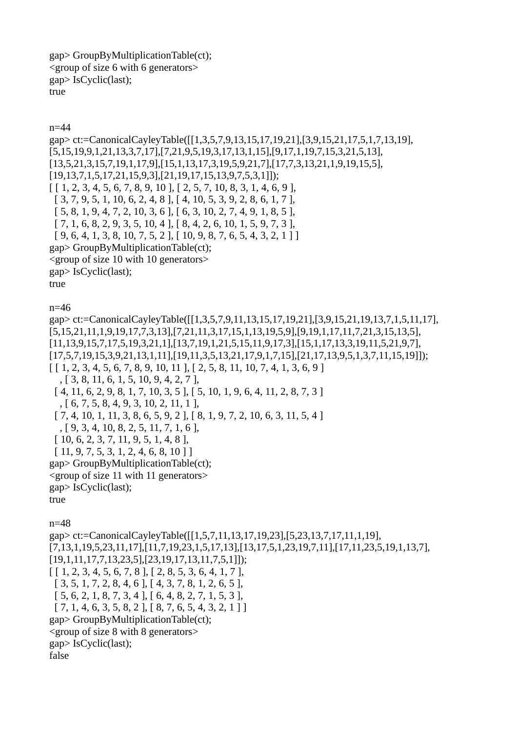```
gap> GroupByMultiplicationTable(ct); 
<group of size 6 with 6 generators> 
gap> IsCyclic(last); 
true
```

```
n=44
```

```
gap> ct:=CanonicalCayleyTable([[1,3,5,7,9,13,15,17,19,21],[3,9,15,21,17,5,1,7,13,19],
[5,15,19,9,1,21,13,3,7,17],[7,21,9,5,19,3,17,13,1,15],[9,17,1,19,7,15,3,21,5,13],
[13,5,21,3,15,7,19,1,17,9],[15,1,13,17,3,19,5,9,21,7],[17,7,3,13,21,1,9,19,15,5],
[19,13,7,1,5,17,21,15,9,3],[21,19,17,15,13,9,7,5,3,1]]); 
[ [ 1, 2, 3, 4, 5, 6, 7, 8, 9, 10 ], [ 2, 5, 7, 10, 8, 3, 1, 4, 6, 9 ], [ 3, 7, 9, 5, 1, 10, 6, 2, 4, 8 ], [ 4, 10, 5, 3, 9, 2, 8, 6, 1, 7 ], 
  [ 5, 8, 1, 9, 4, 7, 2, 10, 3, 6 ], [ 6, 3, 10, 2, 7, 4, 9, 1, 8, 5 ], 
 [ 7, 1, 6, 8, 2, 9, 3, 5, 10, 4 ], [ 8, 4, 2, 6, 10, 1, 5, 9, 7, 3 ],[9, 6, 4, 1, 3, 8, 10, 7, 5, 2], [10, 9, 8, 7, 6, 5, 4, 3, 2, 1]gap> GroupByMultiplicationTable(ct);
<group of size 10 with 10 generators> 
gap> IsCyclic(last); 
true 
n=46
gap> ct:=CanonicalCayleyTable([[1,3,5,7,9,11,13,15,17,19,21],[3,9,15,21,19,13,7,1,5,11,17],
[5,15,21,11,1,9,19,17,7,3,13],[7,21,11,3,17,15,1,13,19,5,9],[9,19,1,17,11,7,21,3,15,13,5],
[11,13,9,15,7,17,5,19,3,21,1],[13,7,19,1,21,5,15,11,9,17,3],[15,1,17,13,3,19,11,5,21,9,7],
[17,5,7,19,15,3,9,21,13,1,11],[19,11,3,5,13,21,17,9,1,7,15],[21,17,13,9,5,1,3,7,11,15,19]]); 
[ [ 1, 2, 3, 4, 5, 6, 7, 8, 9, 10, 11 ], [ 2, 5, 8, 11, 10, 7, 4, 1, 3, 6, 9 ] , [ 3, 8, 11, 6, 1, 5, 10, 9, 4, 2, 7 ], 
 [4, 11, 6, 2, 9, 8, 1, 7, 10, 3, 5], [5, 10, 1, 9, 6, 4, 11, 2, 8, 7, 3] , [ 6, 7, 5, 8, 4, 9, 3, 10, 2, 11, 1 ], 
  [ 7, 4, 10, 1, 11, 3, 8, 6, 5, 9, 2 ], [ 8, 1, 9, 7, 2, 10, 6, 3, 11, 5, 4 ] 
   , [ 9, 3, 4, 10, 8, 2, 5, 11, 7, 1, 6 ], 
  [ 10, 6, 2, 3, 7, 11, 9, 5, 1, 4, 8 ], 
  [ 11, 9, 7, 5, 3, 1, 2, 4, 6, 8, 10 ] ] 
gap> GroupByMultiplicationTable(ct); 
<group of size 11 with 11 generators> 
gap> IsCyclic(last); 
true 
n=48
gap> ct:=CanonicalCayleyTable([[1,5,7,11,13,17,19,23],[5,23,13,7,17,11,1,19],
[7,13,1,19,5,23,11,17],[11,7,19,23,1,5,17,13],[13,17,5,1,23,19,7,11],[17,11,23,5,19,1,13,7],
[19,1,11,17,7,13,23,5],[23,19,17,13,11,7,5,1]]); 
[ [ 1, 2, 3, 4, 5, 6, 7, 8 ], [ 2, 8, 5, 3, 6, 4, 1, 7 ], 
  [ 3, 5, 1, 7, 2, 8, 4, 6 ], [ 4, 3, 7, 8, 1, 2, 6, 5 ], 
  [ 5, 6, 2, 1, 8, 7, 3, 4 ], [ 6, 4, 8, 2, 7, 1, 5, 3 ], 
 [ 7, 1, 4, 6, 3, 5, 8, 2 ], [ 8, 7, 6, 5, 4, 3, 2, 1 ] ]gap> GroupByMultiplicationTable(ct); 
<group of size 8 with 8 generators> 
gap> IsCyclic(last);
```
false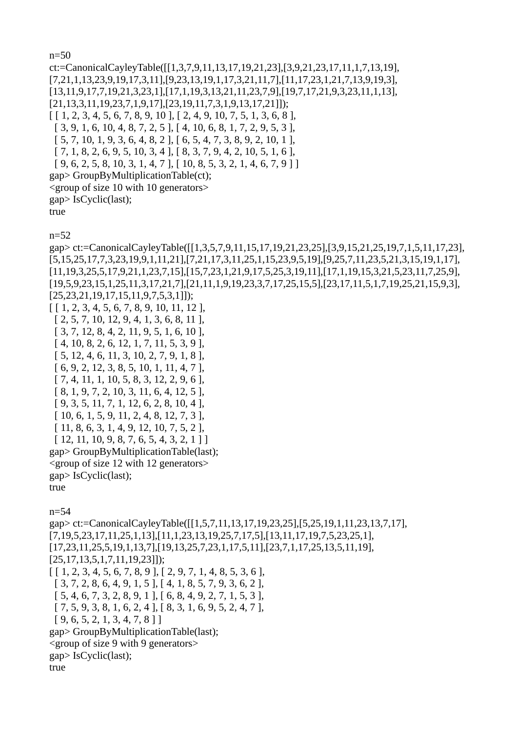n=50

ct:=CanonicalCayleyTable([[1,3,7,9,11,13,17,19,21,23],[3,9,21,23,17,11,1,7,13,19], [7,21,1,13,23,9,19,17,3,11],[9,23,13,19,1,17,3,21,11,7],[11,17,23,1,21,7,13,9,19,3], [13,11,9,17,7,19,21,3,23,1],[17,1,19,3,13,21,11,23,7,9],[19,7,17,21,9,3,23,11,1,13], [21,13,3,11,19,23,7,1,9,17],[23,19,11,7,3,1,9,13,17,21]]);  $[ [ 1, 2, 3, 4, 5, 6, 7, 8, 9, 10 ], [ 2, 4, 9, 10, 7, 5, 1, 3, 6, 8 ],$  $[ 3, 9, 1, 6, 10, 4, 8, 7, 2, 5 ], [ 4, 10, 6, 8, 1, 7, 2, 9, 5, 3 ],$  [ 5, 7, 10, 1, 9, 3, 6, 4, 8, 2 ], [ 6, 5, 4, 7, 3, 8, 9, 2, 10, 1 ],  $[ 7, 1, 8, 2, 6, 9, 5, 10, 3, 4 ], [ 8, 3, 7, 9, 4, 2, 10, 5, 1, 6 ],$  $[9, 6, 2, 5, 8, 10, 3, 1, 4, 7], [10, 8, 5, 3, 2, 1, 4, 6, 7, 9]$ gap> GroupByMultiplicationTable(ct); <group of size 10 with 10 generators> gap> IsCyclic(last); true n=52 gap> ct:=CanonicalCayleyTable([[1,3,5,7,9,11,15,17,19,21,23,25],[3,9,15,21,25,19,7,1,5,11,17,23], [5,15,25,17,7,3,23,19,9,1,11,21],[7,21,17,3,11,25,1,15,23,9,5,19],[9,25,7,11,23,5,21,3,15,19,1,17], [11,19,3,25,5,17,9,21,1,23,7,15],[15,7,23,1,21,9,17,5,25,3,19,11],[17,1,19,15,3,21,5,23,11,7,25,9], [19,5,9,23,15,1,25,11,3,17,21,7],[21,11,1,9,19,23,3,7,17,25,15,5],[23,17,11,5,1,7,19,25,21,15,9,3], [25,23,21,19,17,15,11,9,7,5,3,1]]); [ [ 1, 2, 3, 4, 5, 6, 7, 8, 9, 10, 11, 12 ], [ 2, 5, 7, 10, 12, 9, 4, 1, 3, 6, 8, 11 ], [ 3, 7, 12, 8, 4, 2, 11, 9, 5, 1, 6, 10 ], [ 4, 10, 8, 2, 6, 12, 1, 7, 11, 5, 3, 9 ], [ 5, 12, 4, 6, 11, 3, 10, 2, 7, 9, 1, 8 ], [ 6, 9, 2, 12, 3, 8, 5, 10, 1, 11, 4, 7 ], [ 7, 4, 11, 1, 10, 5, 8, 3, 12, 2, 9, 6 ], [ 8, 1, 9, 7, 2, 10, 3, 11, 6, 4, 12, 5 ], [ 9, 3, 5, 11, 7, 1, 12, 6, 2, 8, 10, 4 ], [ 10, 6, 1, 5, 9, 11, 2, 4, 8, 12, 7, 3 ], [ 11, 8, 6, 3, 1, 4, 9, 12, 10, 7, 5, 2 ],  $[12, 11, 10, 9, 8, 7, 6, 5, 4, 3, 2, 1]$ gap> GroupByMultiplicationTable(last); <group of size 12 with 12 generators> gap> IsCyclic(last); true n=54 gap> ct:=CanonicalCayleyTable([[1,5,7,11,13,17,19,23,25],[5,25,19,1,11,23,13,7,17], [7,19,5,23,17,11,25,1,13],[11,1,23,13,19,25,7,17,5],[13,11,17,19,7,5,23,25,1], [17,23,11,25,5,19,1,13,7],[19,13,25,7,23,1,17,5,11],[23,7,1,17,25,13,5,11,19], [25,17,13,5,1,7,11,19,23]]);  $[ [ 1, 2, 3, 4, 5, 6, 7, 8, 9 ], [ 2, 9, 7, 1, 4, 8, 5, 3, 6 ],$  [ 3, 7, 2, 8, 6, 4, 9, 1, 5 ], [ 4, 1, 8, 5, 7, 9, 3, 6, 2 ], [ 5, 4, 6, 7, 3, 2, 8, 9, 1 ], [ 6, 8, 4, 9, 2, 7, 1, 5, 3 ], [ 7, 5, 9, 3, 8, 1, 6, 2, 4 ], [ 8, 3, 1, 6, 9, 5, 2, 4, 7 ], [ 9, 6, 5, 2, 1, 3, 4, 7, 8 ] ] gap> GroupByMultiplicationTable(last); <group of size 9 with 9 generators> gap> IsCyclic(last); true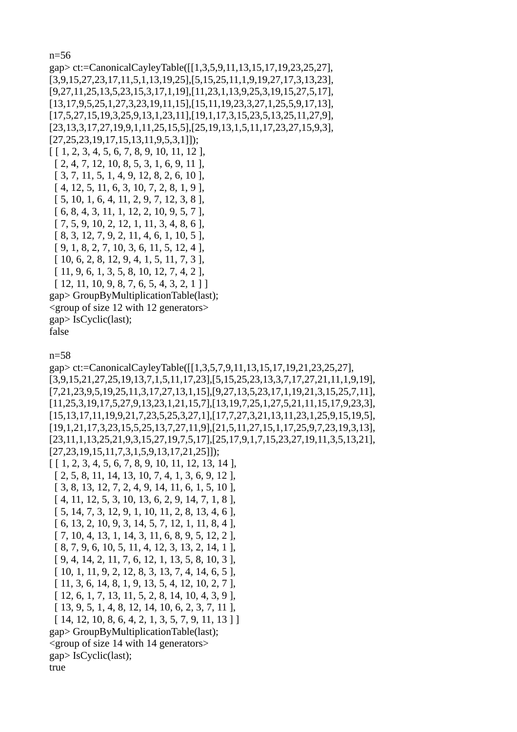n=56

gap> ct:=CanonicalCayleyTable([[1,3,5,9,11,13,15,17,19,23,25,27], [3,9,15,27,23,17,11,5,1,13,19,25],[5,15,25,11,1,9,19,27,17,3,13,23], [9,27,11,25,13,5,23,15,3,17,1,19],[11,23,1,13,9,25,3,19,15,27,5,17], [13,17,9,5,25,1,27,3,23,19,11,15],[15,11,19,23,3,27,1,25,5,9,17,13], [17,5,27,15,19,3,25,9,13,1,23,11],[19,1,17,3,15,23,5,13,25,11,27,9], [23,13,3,17,27,19,9,1,11,25,15,5],[25,19,13,1,5,11,17,23,27,15,9,3], [27,25,23,19,17,15,13,11,9,5,3,1]]); [ [ 1, 2, 3, 4, 5, 6, 7, 8, 9, 10, 11, 12 ], [ 2, 4, 7, 12, 10, 8, 5, 3, 1, 6, 9, 11 ], [ 3, 7, 11, 5, 1, 4, 9, 12, 8, 2, 6, 10 ], [ 4, 12, 5, 11, 6, 3, 10, 7, 2, 8, 1, 9 ], [ 5, 10, 1, 6, 4, 11, 2, 9, 7, 12, 3, 8 ], [ 6, 8, 4, 3, 11, 1, 12, 2, 10, 9, 5, 7 ], [ 7, 5, 9, 10, 2, 12, 1, 11, 3, 4, 8, 6 ], [ 8, 3, 12, 7, 9, 2, 11, 4, 6, 1, 10, 5 ], [ 9, 1, 8, 2, 7, 10, 3, 6, 11, 5, 12, 4 ], [ 10, 6, 2, 8, 12, 9, 4, 1, 5, 11, 7, 3 ], [ 11, 9, 6, 1, 3, 5, 8, 10, 12, 7, 4, 2 ],  $[ 12, 11, 10, 9, 8, 7, 6, 5, 4, 3, 2, 1 ]]$ gap> GroupByMultiplicationTable(last); <group of size 12 with 12 generators> gap> IsCyclic(last); false

n=58

gap> ct:=CanonicalCayleyTable([[1,3,5,7,9,11,13,15,17,19,21,23,25,27], [3,9,15,21,27,25,19,13,7,1,5,11,17,23],[5,15,25,23,13,3,7,17,27,21,11,1,9,19], [7,21,23,9,5,19,25,11,3,17,27,13,1,15],[9,27,13,5,23,17,1,19,21,3,15,25,7,11], [11,25,3,19,17,5,27,9,13,23,1,21,15,7],[13,19,7,25,1,27,5,21,11,15,17,9,23,3], [15,13,17,11,19,9,21,7,23,5,25,3,27,1],[17,7,27,3,21,13,11,23,1,25,9,15,19,5], [19,1,21,17,3,23,15,5,25,13,7,27,11,9],[21,5,11,27,15,1,17,25,9,7,23,19,3,13], [23,11,1,13,25,21,9,3,15,27,19,7,5,17],[25,17,9,1,7,15,23,27,19,11,3,5,13,21], [27,23,19,15,11,7,3,1,5,9,13,17,21,25]]);  $[ [ 1, 2, 3, 4, 5, 6, 7, 8, 9, 10, 11, 12, 13, 14 ],$  [ 2, 5, 8, 11, 14, 13, 10, 7, 4, 1, 3, 6, 9, 12 ], [ 3, 8, 13, 12, 7, 2, 4, 9, 14, 11, 6, 1, 5, 10 ], [ 4, 11, 12, 5, 3, 10, 13, 6, 2, 9, 14, 7, 1, 8 ], [ 5, 14, 7, 3, 12, 9, 1, 10, 11, 2, 8, 13, 4, 6 ], [ 6, 13, 2, 10, 9, 3, 14, 5, 7, 12, 1, 11, 8, 4 ], [ 7, 10, 4, 13, 1, 14, 3, 11, 6, 8, 9, 5, 12, 2 ], [ 8, 7, 9, 6, 10, 5, 11, 4, 12, 3, 13, 2, 14, 1 ], [ 9, 4, 14, 2, 11, 7, 6, 12, 1, 13, 5, 8, 10, 3 ], [ 10, 1, 11, 9, 2, 12, 8, 3, 13, 7, 4, 14, 6, 5 ], [ 11, 3, 6, 14, 8, 1, 9, 13, 5, 4, 12, 10, 2, 7 ], [ 12, 6, 1, 7, 13, 11, 5, 2, 8, 14, 10, 4, 3, 9 ], [ 13, 9, 5, 1, 4, 8, 12, 14, 10, 6, 2, 3, 7, 11 ], [ 14, 12, 10, 8, 6, 4, 2, 1, 3, 5, 7, 9, 11, 13 ] ] gap> GroupByMultiplicationTable(last); <group of size 14 with 14 generators> gap> IsCyclic(last); true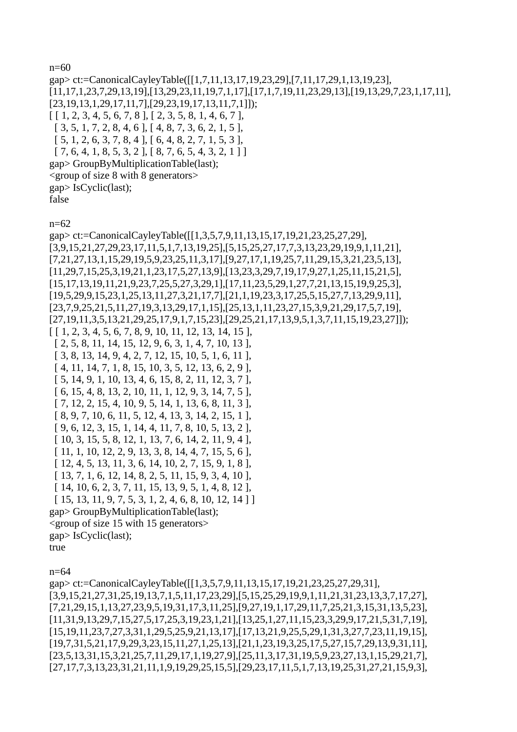n=60 gap> ct:=CanonicalCayleyTable([[1,7,11,13,17,19,23,29],[7,11,17,29,1,13,19,23], [11,17,1,23,7,29,13,19],[13,29,23,11,19,7,1,17],[17,1,7,19,11,23,29,13],[19,13,29,7,23,1,17,11], [23,19,13,1,29,17,11,7],[29,23,19,17,13,11,7,1]]); [ [ 1, 2, 3, 4, 5, 6, 7, 8 ], [ 2, 3, 5, 8, 1, 4, 6, 7 ], [ 3, 5, 1, 7, 2, 8, 4, 6 ], [ 4, 8, 7, 3, 6, 2, 1, 5 ], [ 5, 1, 2, 6, 3, 7, 8, 4 ], [ 6, 4, 8, 2, 7, 1, 5, 3 ],  $[ 7, 6, 4, 1, 8, 5, 3, 2 ], [ 8, 7, 6, 5, 4, 3, 2, 1 ] ]$ gap> GroupByMultiplicationTable(last); <group of size 8 with 8 generators> gap> IsCyclic(last); false

n=62

gap> ct:=CanonicalCayleyTable([[1,3,5,7,9,11,13,15,17,19,21,23,25,27,29], [3,9,15,21,27,29,23,17,11,5,1,7,13,19,25],[5,15,25,27,17,7,3,13,23,29,19,9,1,11,21], [7,21,27,13,1,15,29,19,5,9,23,25,11,3,17],[9,27,17,1,19,25,7,11,29,15,3,21,23,5,13], [11,29,7,15,25,3,19,21,1,23,17,5,27,13,9],[13,23,3,29,7,19,17,9,27,1,25,11,15,21,5], [15,17,13,19,11,21,9,23,7,25,5,27,3,29,1],[17,11,23,5,29,1,27,7,21,13,15,19,9,25,3], [19,5,29,9,15,23,1,25,13,11,27,3,21,17,7],[21,1,19,23,3,17,25,5,15,27,7,13,29,9,11], [23,7,9,25,21,5,11,27,19,3,13,29,17,1,15],[25,13,1,11,23,27,15,3,9,21,29,17,5,7,19], [27,19,11,3,5,13,21,29,25,17,9,1,7,15,23],[29,25,21,17,13,9,5,1,3,7,11,15,19,23,27]]); [ [ 1, 2, 3, 4, 5, 6, 7, 8, 9, 10, 11, 12, 13, 14, 15 ], [ 2, 5, 8, 11, 14, 15, 12, 9, 6, 3, 1, 4, 7, 10, 13 ], [ 3, 8, 13, 14, 9, 4, 2, 7, 12, 15, 10, 5, 1, 6, 11 ], [ 4, 11, 14, 7, 1, 8, 15, 10, 3, 5, 12, 13, 6, 2, 9 ], [ 5, 14, 9, 1, 10, 13, 4, 6, 15, 8, 2, 11, 12, 3, 7 ], [ 6, 15, 4, 8, 13, 2, 10, 11, 1, 12, 9, 3, 14, 7, 5 ], [ 7, 12, 2, 15, 4, 10, 9, 5, 14, 1, 13, 6, 8, 11, 3 ], [ 8, 9, 7, 10, 6, 11, 5, 12, 4, 13, 3, 14, 2, 15, 1 ], [ 9, 6, 12, 3, 15, 1, 14, 4, 11, 7, 8, 10, 5, 13, 2 ], [ 10, 3, 15, 5, 8, 12, 1, 13, 7, 6, 14, 2, 11, 9, 4 ], [ 11, 1, 10, 12, 2, 9, 13, 3, 8, 14, 4, 7, 15, 5, 6 ], [ 12, 4, 5, 13, 11, 3, 6, 14, 10, 2, 7, 15, 9, 1, 8 ], [ 13, 7, 1, 6, 12, 14, 8, 2, 5, 11, 15, 9, 3, 4, 10 ], [ 14, 10, 6, 2, 3, 7, 11, 15, 13, 9, 5, 1, 4, 8, 12 ], [ 15, 13, 11, 9, 7, 5, 3, 1, 2, 4, 6, 8, 10, 12, 14 ] ] gap> GroupByMultiplicationTable(last); <group of size 15 with 15 generators> gap> IsCyclic(last); true

n=64

gap> ct:=CanonicalCayleyTable([[1,3,5,7,9,11,13,15,17,19,21,23,25,27,29,31], [3,9,15,21,27,31,25,19,13,7,1,5,11,17,23,29],[5,15,25,29,19,9,1,11,21,31,23,13,3,7,17,27], [7,21,29,15,1,13,27,23,9,5,19,31,17,3,11,25],[9,27,19,1,17,29,11,7,25,21,3,15,31,13,5,23], [11,31,9,13,29,7,15,27,5,17,25,3,19,23,1,21],[13,25,1,27,11,15,23,3,29,9,17,21,5,31,7,19], [15,19,11,23,7,27,3,31,1,29,5,25,9,21,13,17],[17,13,21,9,25,5,29,1,31,3,27,7,23,11,19,15], [19,7,31,5,21,17,9,29,3,23,15,11,27,1,25,13],[21,1,23,19,3,25,17,5,27,15,7,29,13,9,31,11], [23,5,13,31,15,3,21,25,7,11,29,17,1,19,27,9],[25,11,3,17,31,19,5,9,23,27,13,1,15,29,21,7], [27,17,7,3,13,23,31,21,11,1,9,19,29,25,15,5],[29,23,17,11,5,1,7,13,19,25,31,27,21,15,9,3],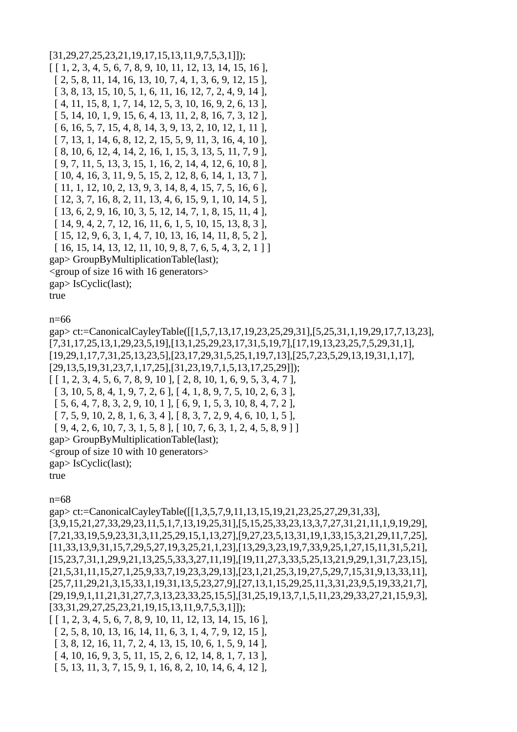$[31,29,27,25,23,21,19,17,15,13,11,9,7,5,3,1]]$ ;  $[1, 2, 3, 4, 5, 6, 7, 8, 9, 10, 11, 12, 13, 14, 15, 16],$  $[2, 5, 8, 11, 14, 16, 13, 10, 7, 4, 1, 3, 6, 9, 12, 15]$  $[3, 8, 13, 15, 10, 5, 1, 6, 11, 16, 12, 7, 2, 4, 9, 14]$  $[4, 11, 15, 8, 1, 7, 14, 12, 5, 3, 10, 16, 9, 2, 6, 13]$  $[5, 14, 10, 1, 9, 15, 6, 4, 13, 11, 2, 8, 16, 7, 3, 12]$ [6, 16, 5, 7, 15, 4, 8, 14, 3, 9, 13, 2, 10, 12, 1, 11],  $[7, 13, 1, 14, 6, 8, 12, 2, 15, 5, 9, 11, 3, 16, 4, 10],$  $[8, 10, 6, 12, 4, 14, 2, 16, 1, 15, 3, 13, 5, 11, 7, 9]$  $[9, 7, 11, 5, 13, 3, 15, 1, 16, 2, 14, 4, 12, 6, 10, 8],$  $[10, 4, 16, 3, 11, 9, 5, 15, 2, 12, 8, 6, 14, 1, 13, 7],$  $[11, 1, 12, 10, 2, 13, 9, 3, 14, 8, 4, 15, 7, 5, 16, 6]$  $[12, 3, 7, 16, 8, 2, 11, 13, 4, 6, 15, 9, 1, 10, 14, 5],$  $[13, 6, 2, 9, 16, 10, 3, 5, 12, 14, 7, 1, 8, 15, 11, 4],$  $[14, 9, 4, 2, 7, 12, 16, 11, 6, 1, 5, 10, 15, 13, 8, 3],$  $[15, 12, 9, 6, 3, 1, 4, 7, 10, 13, 16, 14, 11, 8, 5, 2],$  $[16, 15, 14, 13, 12, 11, 10, 9, 8, 7, 6, 5, 4, 3, 2, 1]$ gap> GroupByMultiplicationTable(last);  $\leq$ group of size 16 with 16 generators> gap> IsCyclic(last); true

 $n = 66$ 

gap> ct:=CanonicalCayleyTable([[1,5,7,13,17,19,23,25,29,31],[5,25,31,1,19,29,17,7,13,23],  $[7,31,17,25,13,1,29,23,5,19]$ ,  $[13,1,25,29,23,17,31,5,19,7]$ ,  $[17,19,13,23,25,7,5,29,31,1]$ ,  $[19,29,1,17,7,31,25,13,23,5]$ ,  $[23,17,29,31,5,25,1,19,7,13]$ ,  $[25,7,23,5,29,13,19,31,1,17]$ ,  $[29, 13, 5, 19, 31, 23, 7, 1, 17, 25], [31, 23, 19, 7, 1, 5, 13, 17, 25, 29]]);$  $[1, 2, 3, 4, 5, 6, 7, 8, 9, 10], [2, 8, 10, 1, 6, 9, 5, 3, 4, 7],$  $[3, 10, 5, 8, 4, 1, 9, 7, 2, 6], [4, 1, 8, 9, 7, 5, 10, 2, 6, 3],$  $[5, 6, 4, 7, 8, 3, 2, 9, 10, 1], [6, 9, 1, 5, 3, 10, 8, 4, 7, 2],$  $[7, 5, 9, 10, 2, 8, 1, 6, 3, 4], [8, 3, 7, 2, 9, 4, 6, 10, 1, 5],$  $[9, 4, 2, 6, 10, 7, 3, 1, 5, 8], [10, 7, 6, 3, 1, 2, 4, 5, 8, 9]$ gap> GroupByMultiplicationTable(last); <group of size 10 with 10 generators>  $gap > IsCyclicu$ ; true

 $n=68$ 

gap> ct:=CanonicalCayleyTable([[1,3,5,7,9,11,13,15,19,21,23,25,27,29,31,33],  $[3,9,15,21,27,33,29,23,11,5,1,7,13,19,25,31],[5,15,25,33,23,13,3,7,27,31,21,11,1,9,19,29],$  $[7,21,33,19,5,9,23,31,3,11,25,29,15,1,13,27], [9,27,23,5,13,31,19,1,33,15,3,21,29,11,7,25],$  $[11, 33, 13, 9, 31, 15, 7, 29, 5, 27, 19, 3, 25, 21, 1, 23], [13, 29, 3, 23, 19, 7, 33, 9, 25, 1, 27, 15, 11, 31, 5, 21],$  $[15, 23, 7, 31, 1, 29, 9, 21, 13, 25, 5, 33, 3, 27, 11, 19], [19, 11, 27, 3, 33, 5, 25, 13, 21, 9, 29, 1, 31, 7, 23, 15],$  $[21,5,31,11,15,27,1,25,9,33,7,19,23,3,29,13]$ , $[23,1,21,25,3,19,27,5,29,7,15,31,9,13,33,11]$ ,  $[25,7,11,29,21,3,15,33,1,19,31,13,5,23,27,9]$ , $[27,13,1,15,29,25,11,3,31,23,9,5,19,33,21,7]$ ,  $[29,19,9,1,11,21,31,27,7,3,13,23,33,25,15,5]$ , $[31,25,19,13,7,1,5,11,23,29,33,27,21,15,9,3]$  $[33,31,29,27,25,23,21,19,15,13,11,9,7,5,3,1]]$ ;  $[1, 2, 3, 4, 5, 6, 7, 8, 9, 10, 11, 12, 13, 14, 15, 16]$ 

 $[2, 5, 8, 10, 13, 16, 14, 11, 6, 3, 1, 4, 7, 9, 12, 15]$  $[3, 8, 12, 16, 11, 7, 2, 4, 13, 15, 10, 6, 1, 5, 9, 14]$ 

 $[4, 10, 16, 9, 3, 5, 11, 15, 2, 6, 12, 14, 8, 1, 7, 13]$ 

[ 5, 13, 11, 3, 7, 15, 9, 1, 16, 8, 2, 10, 14, 6, 4, 12 ],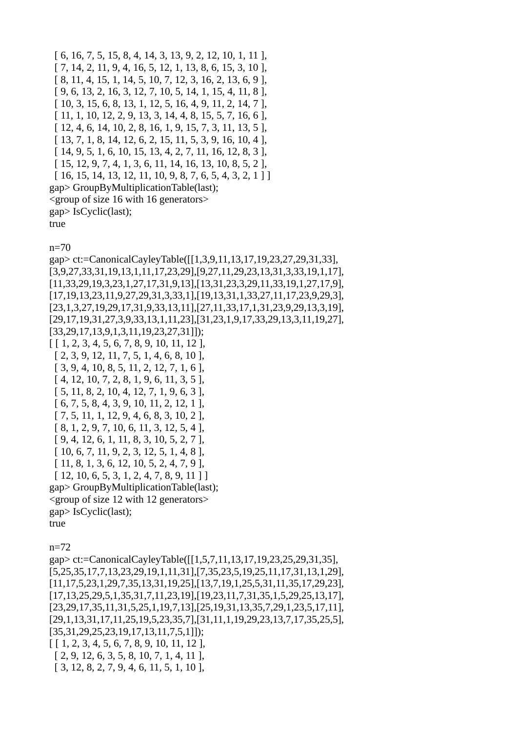[ 6, 16, 7, 5, 15, 8, 4, 14, 3, 13, 9, 2, 12, 10, 1, 11 ], [ 7, 14, 2, 11, 9, 4, 16, 5, 12, 1, 13, 8, 6, 15, 3, 10 ], [ 8, 11, 4, 15, 1, 14, 5, 10, 7, 12, 3, 16, 2, 13, 6, 9 ], [ 9, 6, 13, 2, 16, 3, 12, 7, 10, 5, 14, 1, 15, 4, 11, 8 ], [ 10, 3, 15, 6, 8, 13, 1, 12, 5, 16, 4, 9, 11, 2, 14, 7 ], [ 11, 1, 10, 12, 2, 9, 13, 3, 14, 4, 8, 15, 5, 7, 16, 6 ], [ 12, 4, 6, 14, 10, 2, 8, 16, 1, 9, 15, 7, 3, 11, 13, 5 ], [ 13, 7, 1, 8, 14, 12, 6, 2, 15, 11, 5, 3, 9, 16, 10, 4 ], [ 14, 9, 5, 1, 6, 10, 15, 13, 4, 2, 7, 11, 16, 12, 8, 3 ], [ 15, 12, 9, 7, 4, 1, 3, 6, 11, 14, 16, 13, 10, 8, 5, 2 ], [ 16, 15, 14, 13, 12, 11, 10, 9, 8, 7, 6, 5, 4, 3, 2, 1 ] ] gap> GroupByMultiplicationTable(last); <group of size 16 with 16 generators> gap> IsCyclic(last); true

n=70

gap> ct:=CanonicalCayleyTable([[1,3,9,11,13,17,19,23,27,29,31,33], [3,9,27,33,31,19,13,1,11,17,23,29],[9,27,11,29,23,13,31,3,33,19,1,17], [11,33,29,19,3,23,1,27,17,31,9,13],[13,31,23,3,29,11,33,19,1,27,17,9], [17,19,13,23,11,9,27,29,31,3,33,1],[19,13,31,1,33,27,11,17,23,9,29,3], [23,1,3,27,19,29,17,31,9,33,13,11],[27,11,33,17,1,31,23,9,29,13,3,19], [29,17,19,31,27,3,9,33,13,1,11,23],[31,23,1,9,17,33,29,13,3,11,19,27], [33,29,17,13,9,1,3,11,19,23,27,31]]);  $[ [ 1, 2, 3, 4, 5, 6, 7, 8, 9, 10, 11, 12 ],$  [ 2, 3, 9, 12, 11, 7, 5, 1, 4, 6, 8, 10 ], [ 3, 9, 4, 10, 8, 5, 11, 2, 12, 7, 1, 6 ], [ 4, 12, 10, 7, 2, 8, 1, 9, 6, 11, 3, 5 ], [ 5, 11, 8, 2, 10, 4, 12, 7, 1, 9, 6, 3 ], [ 6, 7, 5, 8, 4, 3, 9, 10, 11, 2, 12, 1 ], [ 7, 5, 11, 1, 12, 9, 4, 6, 8, 3, 10, 2 ], [ 8, 1, 2, 9, 7, 10, 6, 11, 3, 12, 5, 4 ], [ 9, 4, 12, 6, 1, 11, 8, 3, 10, 5, 2, 7 ], [ 10, 6, 7, 11, 9, 2, 3, 12, 5, 1, 4, 8 ], [ 11, 8, 1, 3, 6, 12, 10, 5, 2, 4, 7, 9 ],  $[ 12, 10, 6, 5, 3, 1, 2, 4, 7, 8, 9, 11 ]]$ gap> GroupByMultiplicationTable(last); <group of size 12 with 12 generators> gap> IsCyclic(last); true n=72 gap> ct:=CanonicalCayleyTable([[1,5,7,11,13,17,19,23,25,29,31,35],

[5,25,35,17,7,13,23,29,19,1,11,31],[7,35,23,5,19,25,11,17,31,13,1,29], [11,17,5,23,1,29,7,35,13,31,19,25],[13,7,19,1,25,5,31,11,35,17,29,23], [17,13,25,29,5,1,35,31,7,11,23,19],[19,23,11,7,31,35,1,5,29,25,13,17], [23,29,17,35,11,31,5,25,1,19,7,13],[25,19,31,13,35,7,29,1,23,5,17,11], [29,1,13,31,17,11,25,19,5,23,35,7],[31,11,1,19,29,23,13,7,17,35,25,5], [35,31,29,25,23,19,17,13,11,7,5,1]]); [ [ 1, 2, 3, 4, 5, 6, 7, 8, 9, 10, 11, 12 ], [ 2, 9, 12, 6, 3, 5, 8, 10, 7, 1, 4, 11 ], [ 3, 12, 8, 2, 7, 9, 4, 6, 11, 5, 1, 10 ],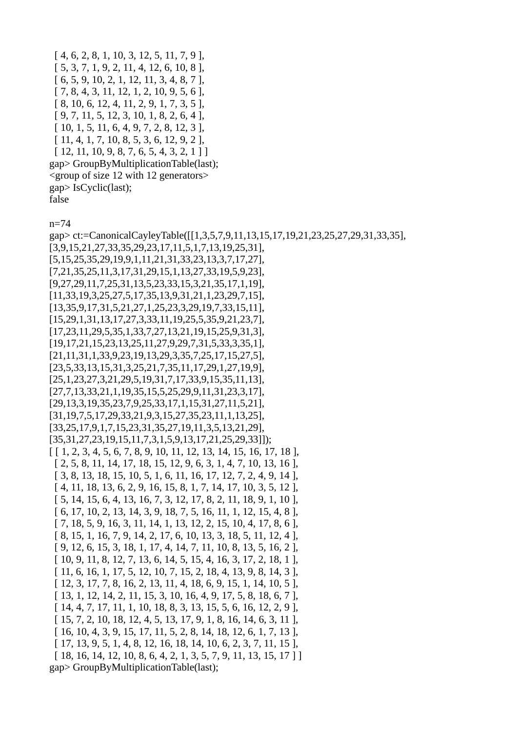$[4, 6, 2, 8, 1, 10, 3, 12, 5, 11, 7, 9]$  [ 5, 3, 7, 1, 9, 2, 11, 4, 12, 6, 10, 8 ], [ 6, 5, 9, 10, 2, 1, 12, 11, 3, 4, 8, 7 ], [ 7, 8, 4, 3, 11, 12, 1, 2, 10, 9, 5, 6 ], [ 8, 10, 6, 12, 4, 11, 2, 9, 1, 7, 3, 5 ], [ 9, 7, 11, 5, 12, 3, 10, 1, 8, 2, 6, 4 ], [ 10, 1, 5, 11, 6, 4, 9, 7, 2, 8, 12, 3 ], [ 11, 4, 1, 7, 10, 8, 5, 3, 6, 12, 9, 2 ],  $[ 12, 11, 10, 9, 8, 7, 6, 5, 4, 3, 2, 1 ]]$ gap> GroupByMultiplicationTable(last); <group of size 12 with 12 generators> gap> IsCyclic(last); false

n=74

gap> ct:=CanonicalCayleyTable([[1,3,5,7,9,11,13,15,17,19,21,23,25,27,29,31,33,35], [3,9,15,21,27,33,35,29,23,17,11,5,1,7,13,19,25,31], [5,15,25,35,29,19,9,1,11,21,31,33,23,13,3,7,17,27], [7,21,35,25,11,3,17,31,29,15,1,13,27,33,19,5,9,23], [9,27,29,11,7,25,31,13,5,23,33,15,3,21,35,17,1,19], [11,33,19,3,25,27,5,17,35,13,9,31,21,1,23,29,7,15], [13,35,9,17,31,5,21,27,1,25,23,3,29,19,7,33,15,11], [15,29,1,31,13,17,27,3,33,11,19,25,5,35,9,21,23,7], [17,23,11,29,5,35,1,33,7,27,13,21,19,15,25,9,31,3], [19,17,21,15,23,13,25,11,27,9,29,7,31,5,33,3,35,1], [21,11,31,1,33,9,23,19,13,29,3,35,7,25,17,15,27,5], [23,5,33,13,15,31,3,25,21,7,35,11,17,29,1,27,19,9], [25,1,23,27,3,21,29,5,19,31,7,17,33,9,15,35,11,13], [27,7,13,33,21,1,19,35,15,5,25,29,9,11,31,23,3,17], [29,13,3,19,35,23,7,9,25,33,17,1,15,31,27,11,5,21], [31,19,7,5,17,29,33,21,9,3,15,27,35,23,11,1,13,25], [33,25,17,9,1,7,15,23,31,35,27,19,11,3,5,13,21,29], [35,31,27,23,19,15,11,7,3,1,5,9,13,17,21,25,29,33]]);  $[ [ 1, 2, 3, 4, 5, 6, 7, 8, 9, 10, 11, 12, 13, 14, 15, 16, 17, 18 ],$  [ 2, 5, 8, 11, 14, 17, 18, 15, 12, 9, 6, 3, 1, 4, 7, 10, 13, 16 ], [ 3, 8, 13, 18, 15, 10, 5, 1, 6, 11, 16, 17, 12, 7, 2, 4, 9, 14 ], [ 4, 11, 18, 13, 6, 2, 9, 16, 15, 8, 1, 7, 14, 17, 10, 3, 5, 12 ], [ 5, 14, 15, 6, 4, 13, 16, 7, 3, 12, 17, 8, 2, 11, 18, 9, 1, 10 ], [ 6, 17, 10, 2, 13, 14, 3, 9, 18, 7, 5, 16, 11, 1, 12, 15, 4, 8 ], [ 7, 18, 5, 9, 16, 3, 11, 14, 1, 13, 12, 2, 15, 10, 4, 17, 8, 6 ], [ 8, 15, 1, 16, 7, 9, 14, 2, 17, 6, 10, 13, 3, 18, 5, 11, 12, 4 ], [ 9, 12, 6, 15, 3, 18, 1, 17, 4, 14, 7, 11, 10, 8, 13, 5, 16, 2 ], [ 10, 9, 11, 8, 12, 7, 13, 6, 14, 5, 15, 4, 16, 3, 17, 2, 18, 1 ], [ 11, 6, 16, 1, 17, 5, 12, 10, 7, 15, 2, 18, 4, 13, 9, 8, 14, 3 ], [ 12, 3, 17, 7, 8, 16, 2, 13, 11, 4, 18, 6, 9, 15, 1, 14, 10, 5 ], [ 13, 1, 12, 14, 2, 11, 15, 3, 10, 16, 4, 9, 17, 5, 8, 18, 6, 7 ], [ 14, 4, 7, 17, 11, 1, 10, 18, 8, 3, 13, 15, 5, 6, 16, 12, 2, 9 ], [ 15, 7, 2, 10, 18, 12, 4, 5, 13, 17, 9, 1, 8, 16, 14, 6, 3, 11 ], [ 16, 10, 4, 3, 9, 15, 17, 11, 5, 2, 8, 14, 18, 12, 6, 1, 7, 13 ], [ 17, 13, 9, 5, 1, 4, 8, 12, 16, 18, 14, 10, 6, 2, 3, 7, 11, 15 ], [ 18, 16, 14, 12, 10, 8, 6, 4, 2, 1, 3, 5, 7, 9, 11, 13, 15, 17 ] ] gap> GroupByMultiplicationTable(last);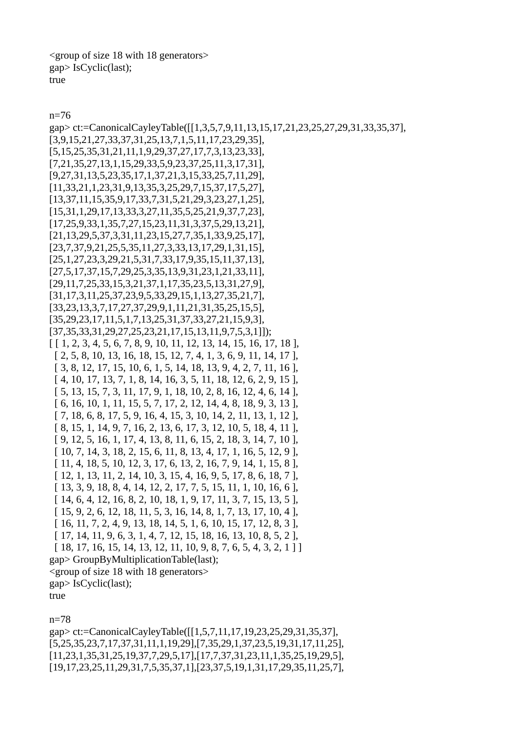<group of size 18 with 18 generators> gap> IsCyclic(last); true

n=76

gap> ct:=CanonicalCayleyTable([[1,3,5,7,9,11,13,15,17,21,23,25,27,29,31,33,35,37], [3,9,15,21,27,33,37,31,25,13,7,1,5,11,17,23,29,35], [5,15,25,35,31,21,11,1,9,29,37,27,17,7,3,13,23,33], [7,21,35,27,13,1,15,29,33,5,9,23,37,25,11,3,17,31], [9,27,31,13,5,23,35,17,1,37,21,3,15,33,25,7,11,29], [11,33,21,1,23,31,9,13,35,3,25,29,7,15,37,17,5,27], [13,37,11,15,35,9,17,33,7,31,5,21,29,3,23,27,1,25], [15,31,1,29,17,13,33,3,27,11,35,5,25,21,9,37,7,23], [17,25,9,33,1,35,7,27,15,23,11,31,3,37,5,29,13,21], [21,13,29,5,37,3,31,11,23,15,27,7,35,1,33,9,25,17], [23,7,37,9,21,25,5,35,11,27,3,33,13,17,29,1,31,15], [25,1,27,23,3,29,21,5,31,7,33,17,9,35,15,11,37,13], [27,5,17,37,15,7,29,25,3,35,13,9,31,23,1,21,33,11], [29,11,7,25,33,15,3,21,37,1,17,35,23,5,13,31,27,9], [31,17,3,11,25,37,23,9,5,33,29,15,1,13,27,35,21,7], [33,23,13,3,7,17,27,37,29,9,1,11,21,31,35,25,15,5], [35,29,23,17,11,5,1,7,13,25,31,37,33,27,21,15,9,3], [37,35,33,31,29,27,25,23,21,17,15,13,11,9,7,5,3,1]]);  $[ [ 1, 2, 3, 4, 5, 6, 7, 8, 9, 10, 11, 12, 13, 14, 15, 16, 17, 18 ],$  [ 2, 5, 8, 10, 13, 16, 18, 15, 12, 7, 4, 1, 3, 6, 9, 11, 14, 17 ], [ 3, 8, 12, 17, 15, 10, 6, 1, 5, 14, 18, 13, 9, 4, 2, 7, 11, 16 ], [ 4, 10, 17, 13, 7, 1, 8, 14, 16, 3, 5, 11, 18, 12, 6, 2, 9, 15 ], [ 5, 13, 15, 7, 3, 11, 17, 9, 1, 18, 10, 2, 8, 16, 12, 4, 6, 14 ], [ 6, 16, 10, 1, 11, 15, 5, 7, 17, 2, 12, 14, 4, 8, 18, 9, 3, 13 ], [ 7, 18, 6, 8, 17, 5, 9, 16, 4, 15, 3, 10, 14, 2, 11, 13, 1, 12 ], [ 8, 15, 1, 14, 9, 7, 16, 2, 13, 6, 17, 3, 12, 10, 5, 18, 4, 11 ], [ 9, 12, 5, 16, 1, 17, 4, 13, 8, 11, 6, 15, 2, 18, 3, 14, 7, 10 ], [ 10, 7, 14, 3, 18, 2, 15, 6, 11, 8, 13, 4, 17, 1, 16, 5, 12, 9 ], [ 11, 4, 18, 5, 10, 12, 3, 17, 6, 13, 2, 16, 7, 9, 14, 1, 15, 8 ], [ 12, 1, 13, 11, 2, 14, 10, 3, 15, 4, 16, 9, 5, 17, 8, 6, 18, 7 ], [ 13, 3, 9, 18, 8, 4, 14, 12, 2, 17, 7, 5, 15, 11, 1, 10, 16, 6 ], [ 14, 6, 4, 12, 16, 8, 2, 10, 18, 1, 9, 17, 11, 3, 7, 15, 13, 5 ], [ 15, 9, 2, 6, 12, 18, 11, 5, 3, 16, 14, 8, 1, 7, 13, 17, 10, 4 ], [ 16, 11, 7, 2, 4, 9, 13, 18, 14, 5, 1, 6, 10, 15, 17, 12, 8, 3 ], [ 17, 14, 11, 9, 6, 3, 1, 4, 7, 12, 15, 18, 16, 13, 10, 8, 5, 2 ], [ 18, 17, 16, 15, 14, 13, 12, 11, 10, 9, 8, 7, 6, 5, 4, 3, 2, 1 ] ] gap> GroupByMultiplicationTable(last); <group of size 18 with 18 generators> gap> IsCyclic(last); true

n=78

gap> ct:=CanonicalCayleyTable([[1,5,7,11,17,19,23,25,29,31,35,37], [5,25,35,23,7,17,37,31,11,1,19,29],[7,35,29,1,37,23,5,19,31,17,11,25], [11,23,1,35,31,25,19,37,7,29,5,17],[17,7,37,31,23,11,1,35,25,19,29,5], [19,17,23,25,11,29,31,7,5,35,37,1],[23,37,5,19,1,31,17,29,35,11,25,7],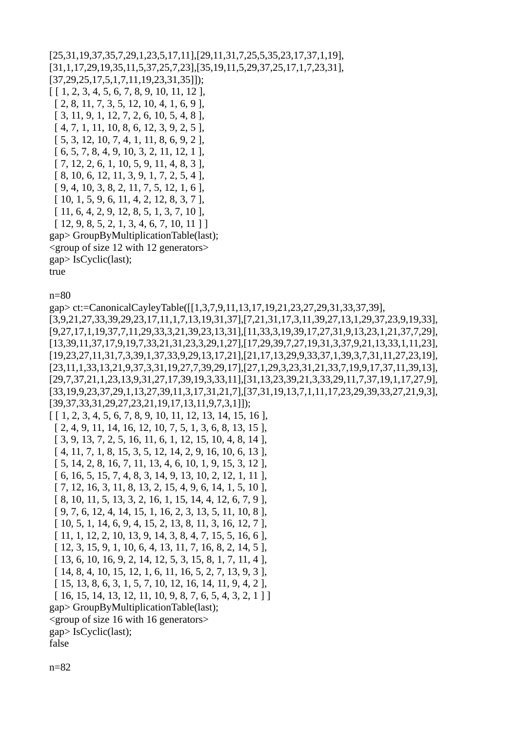```
[25,31,19,37,35,7,29,1,23,5,17,11],[29,11,31,7,25,5,35,23,17,37,1,19],
[31,1,17,29,19,35,11,5,37,25,7,23],[35,19,11,5,29,37,25,17,1,7,23,31],
[37,29,25,17,5,1,7,11,19,23,31,35]]); 
[ [ 1, 2, 3, 4, 5, 6, 7, 8, 9, 10, 11, 12 ], 
  [ 2, 8, 11, 7, 3, 5, 12, 10, 4, 1, 6, 9 ], 
  [ 3, 11, 9, 1, 12, 7, 2, 6, 10, 5, 4, 8 ], 
  [ 4, 7, 1, 11, 10, 8, 6, 12, 3, 9, 2, 5 ], 
  [ 5, 3, 12, 10, 7, 4, 1, 11, 8, 6, 9, 2 ], 
  [ 6, 5, 7, 8, 4, 9, 10, 3, 2, 11, 12, 1 ], 
  [ 7, 12, 2, 6, 1, 10, 5, 9, 11, 4, 8, 3 ], 
  [ 8, 10, 6, 12, 11, 3, 9, 1, 7, 2, 5, 4 ], 
  [ 9, 4, 10, 3, 8, 2, 11, 7, 5, 12, 1, 6 ], 
  [ 10, 1, 5, 9, 6, 11, 4, 2, 12, 8, 3, 7 ], 
  [ 11, 6, 4, 2, 9, 12, 8, 5, 1, 3, 7, 10 ], 
 [12, 9, 8, 5, 2, 1, 3, 4, 6, 7, 10, 11]gap> GroupByMultiplicationTable(last); 
<group of size 12 with 12 generators> 
gap> IsCyclic(last); 
true
```
n=80

```
gap> ct:=CanonicalCayleyTable([[1,3,7,9,11,13,17,19,21,23,27,29,31,33,37,39],
[3,9,21,27,33,39,29,23,17,11,1,7,13,19,31,37],[7,21,31,17,3,11,39,27,13,1,29,37,23,9,19,33],
[9,27,17,1,19,37,7,11,29,33,3,21,39,23,13,31],[11,33,3,19,39,17,27,31,9,13,23,1,21,37,7,29],
[13,39,11,37,17,9,19,7,33,21,31,23,3,29,1,27],[17,29,39,7,27,19,31,3,37,9,21,13,33,1,11,23],
[19,23,27,11,31,7,3,39,1,37,33,9,29,13,17,21],[21,17,13,29,9,33,37,1,39,3,7,31,11,27,23,19],
[23,11,1,33,13,21,9,37,3,31,19,27,7,39,29,17],[27,1,29,3,23,31,21,33,7,19,9,17,37,11,39,13],
[29,7,37,21,1,23,13,9,31,27,17,39,19,3,33,11],[31,13,23,39,21,3,33,29,11,7,37,19,1,17,27,9],
[33,19,9,23,37,29,1,13,27,39,11,3,17,31,21,7],[37,31,19,13,7,1,11,17,23,29,39,33,27,21,9,3],
[39,37,33,31,29,27,23,21,19,17,13,11,9,7,3,1]]); 
[ [ 1, 2, 3, 4, 5, 6, 7, 8, 9, 10, 11, 12, 13, 14, 15, 16 ], 
  [ 2, 4, 9, 11, 14, 16, 12, 10, 7, 5, 1, 3, 6, 8, 13, 15 ], 
  [ 3, 9, 13, 7, 2, 5, 16, 11, 6, 1, 12, 15, 10, 4, 8, 14 ], 
  [ 4, 11, 7, 1, 8, 15, 3, 5, 12, 14, 2, 9, 16, 10, 6, 13 ], 
  [ 5, 14, 2, 8, 16, 7, 11, 13, 4, 6, 10, 1, 9, 15, 3, 12 ], 
  [ 6, 16, 5, 15, 7, 4, 8, 3, 14, 9, 13, 10, 2, 12, 1, 11 ], 
  [ 7, 12, 16, 3, 11, 8, 13, 2, 15, 4, 9, 6, 14, 1, 5, 10 ], 
  [ 8, 10, 11, 5, 13, 3, 2, 16, 1, 15, 14, 4, 12, 6, 7, 9 ], 
  [ 9, 7, 6, 12, 4, 14, 15, 1, 16, 2, 3, 13, 5, 11, 10, 8 ], 
  [ 10, 5, 1, 14, 6, 9, 4, 15, 2, 13, 8, 11, 3, 16, 12, 7 ], 
  [ 11, 1, 12, 2, 10, 13, 9, 14, 3, 8, 4, 7, 15, 5, 16, 6 ], 
  [ 12, 3, 15, 9, 1, 10, 6, 4, 13, 11, 7, 16, 8, 2, 14, 5 ], 
  [ 13, 6, 10, 16, 9, 2, 14, 12, 5, 3, 15, 8, 1, 7, 11, 4 ], 
  [ 14, 8, 4, 10, 15, 12, 1, 6, 11, 16, 5, 2, 7, 13, 9, 3 ], 
  [ 15, 13, 8, 6, 3, 1, 5, 7, 10, 12, 16, 14, 11, 9, 4, 2 ], 
  [ 16, 15, 14, 13, 12, 11, 10, 9, 8, 7, 6, 5, 4, 3, 2, 1 ] ] 
gap> GroupByMultiplicationTable(last); 
<group of size 16 with 16 generators> 
gap> IsCyclic(last); 
false
```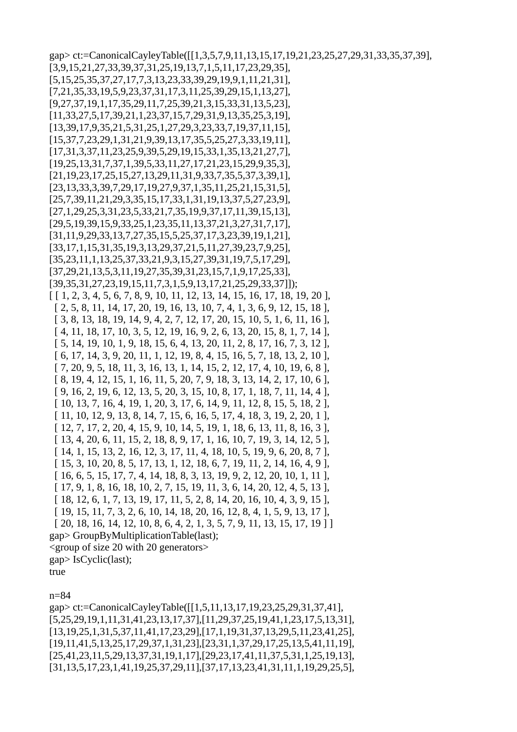gap> ct:=CanonicalCayleyTable([[1,3,5,7,9,11,13,15,17,19,21,23,25,27,29,31,33,35,37,39], [3,9,15,21,27,33,39,37,31,25,19,13,7,1,5,11,17,23,29,35], [5,15,25,35,37,27,17,7,3,13,23,33,39,29,19,9,1,11,21,31], [7,21,35,33,19,5,9,23,37,31,17,3,11,25,39,29,15,1,13,27], [9,27,37,19,1,17,35,29,11,7,25,39,21,3,15,33,31,13,5,23], [11,33,27,5,17,39,21,1,23,37,15,7,29,31,9,13,35,25,3,19], [13,39,17,9,35,21,5,31,25,1,27,29,3,23,33,7,19,37,11,15], [15,37,7,23,29,1,31,21,9,39,13,17,35,5,25,27,3,33,19,11], [17,31,3,37,11,23,25,9,39,5,29,19,15,33,1,35,13,21,27,7], [19,25,13,31,7,37,1,39,5,33,11,27,17,21,23,15,29,9,35,3], [21,19,23,17,25,15,27,13,29,11,31,9,33,7,35,5,37,3,39,1], [23,13,33,3,39,7,29,17,19,27,9,37,1,35,11,25,21,15,31,5], [25,7,39,11,21,29,3,35,15,17,33,1,31,19,13,37,5,27,23,9], [27,1,29,25,3,31,23,5,33,21,7,35,19,9,37,17,11,39,15,13], [29,5,19,39,15,9,33,25,1,23,35,11,13,37,21,3,27,31,7,17], [31,11,9,29,33,13,7,27,35,15,5,25,37,17,3,23,39,19,1,21], [33,17,1,15,31,35,19,3,13,29,37,21,5,11,27,39,23,7,9,25], [35,23,11,1,13,25,37,33,21,9,3,15,27,39,31,19,7,5,17,29], [37,29,21,13,5,3,11,19,27,35,39,31,23,15,7,1,9,17,25,33], [39,35,31,27,23,19,15,11,7,3,1,5,9,13,17,21,25,29,33,37]]); [ [ 1, 2, 3, 4, 5, 6, 7, 8, 9, 10, 11, 12, 13, 14, 15, 16, 17, 18, 19, 20 ], [ 2, 5, 8, 11, 14, 17, 20, 19, 16, 13, 10, 7, 4, 1, 3, 6, 9, 12, 15, 18 ], [ 3, 8, 13, 18, 19, 14, 9, 4, 2, 7, 12, 17, 20, 15, 10, 5, 1, 6, 11, 16 ], [ 4, 11, 18, 17, 10, 3, 5, 12, 19, 16, 9, 2, 6, 13, 20, 15, 8, 1, 7, 14 ], [ 5, 14, 19, 10, 1, 9, 18, 15, 6, 4, 13, 20, 11, 2, 8, 17, 16, 7, 3, 12 ], [ 6, 17, 14, 3, 9, 20, 11, 1, 12, 19, 8, 4, 15, 16, 5, 7, 18, 13, 2, 10 ], [ 7, 20, 9, 5, 18, 11, 3, 16, 13, 1, 14, 15, 2, 12, 17, 4, 10, 19, 6, 8 ], [ 8, 19, 4, 12, 15, 1, 16, 11, 5, 20, 7, 9, 18, 3, 13, 14, 2, 17, 10, 6 ], [ 9, 16, 2, 19, 6, 12, 13, 5, 20, 3, 15, 10, 8, 17, 1, 18, 7, 11, 14, 4 ], [ 10, 13, 7, 16, 4, 19, 1, 20, 3, 17, 6, 14, 9, 11, 12, 8, 15, 5, 18, 2 ], [ 11, 10, 12, 9, 13, 8, 14, 7, 15, 6, 16, 5, 17, 4, 18, 3, 19, 2, 20, 1 ], [ 12, 7, 17, 2, 20, 4, 15, 9, 10, 14, 5, 19, 1, 18, 6, 13, 11, 8, 16, 3 ], [ 13, 4, 20, 6, 11, 15, 2, 18, 8, 9, 17, 1, 16, 10, 7, 19, 3, 14, 12, 5 ], [ 14, 1, 15, 13, 2, 16, 12, 3, 17, 11, 4, 18, 10, 5, 19, 9, 6, 20, 8, 7 ], [ 15, 3, 10, 20, 8, 5, 17, 13, 1, 12, 18, 6, 7, 19, 11, 2, 14, 16, 4, 9 ], [ 16, 6, 5, 15, 17, 7, 4, 14, 18, 8, 3, 13, 19, 9, 2, 12, 20, 10, 1, 11 ], [ 17, 9, 1, 8, 16, 18, 10, 2, 7, 15, 19, 11, 3, 6, 14, 20, 12, 4, 5, 13 ], [ 18, 12, 6, 1, 7, 13, 19, 17, 11, 5, 2, 8, 14, 20, 16, 10, 4, 3, 9, 15 ], [ 19, 15, 11, 7, 3, 2, 6, 10, 14, 18, 20, 16, 12, 8, 4, 1, 5, 9, 13, 17 ], [ 20, 18, 16, 14, 12, 10, 8, 6, 4, 2, 1, 3, 5, 7, 9, 11, 13, 15, 17, 19 ] ] gap> GroupByMultiplicationTable(last); <group of size 20 with 20 generators> gap> IsCyclic(last); true

n=84 gap> ct:=CanonicalCayleyTable([[1,5,11,13,17,19,23,25,29,31,37,41], [5,25,29,19,1,11,31,41,23,13,17,37],[11,29,37,25,19,41,1,23,17,5,13,31], [13,19,25,1,31,5,37,11,41,17,23,29],[17,1,19,31,37,13,29,5,11,23,41,25], [19,11,41,5,13,25,17,29,37,1,31,23],[23,31,1,37,29,17,25,13,5,41,11,19], [25,41,23,11,5,29,13,37,31,19,1,17],[29,23,17,41,11,37,5,31,1,25,19,13], [31,13,5,17,23,1,41,19,25,37,29,11],[37,17,13,23,41,31,11,1,19,29,25,5],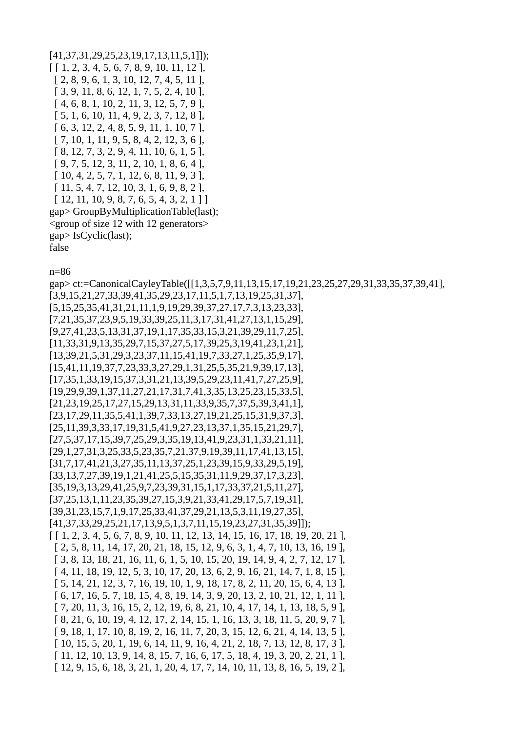```
[41,37,31,29,25,23,19,17,13,11,5,1]]); 
[ [ 1, 2, 3, 4, 5, 6, 7, 8, 9, 10, 11, 12 ], [ 2, 8, 9, 6, 1, 3, 10, 12, 7, 4, 5, 11 ], 
  [ 3, 9, 11, 8, 6, 12, 1, 7, 5, 2, 4, 10 ], 
  [ 4, 6, 8, 1, 10, 2, 11, 3, 12, 5, 7, 9 ], 
  [ 5, 1, 6, 10, 11, 4, 9, 2, 3, 7, 12, 8 ], 
  [ 6, 3, 12, 2, 4, 8, 5, 9, 11, 1, 10, 7 ], 
  [ 7, 10, 1, 11, 9, 5, 8, 4, 2, 12, 3, 6 ], 
  [ 8, 12, 7, 3, 2, 9, 4, 11, 10, 6, 1, 5 ], 
  [ 9, 7, 5, 12, 3, 11, 2, 10, 1, 8, 6, 4 ], 
  [ 10, 4, 2, 5, 7, 1, 12, 6, 8, 11, 9, 3 ], 
  [ 11, 5, 4, 7, 12, 10, 3, 1, 6, 9, 8, 2 ], 
 [ 12, 11, 10, 9, 8, 7, 6, 5, 4, 3, 2, 1 ]]gap> GroupByMultiplicationTable(last); 
<group of size 12 with 12 generators> 
gap> IsCyclic(last);
```
false

n=86

gap> ct:=CanonicalCayleyTable([[1,3,5,7,9,11,13,15,17,19,21,23,25,27,29,31,33,35,37,39,41], [3,9,15,21,27,33,39,41,35,29,23,17,11,5,1,7,13,19,25,31,37], [5,15,25,35,41,31,21,11,1,9,19,29,39,37,27,17,7,3,13,23,33], [7,21,35,37,23,9,5,19,33,39,25,11,3,17,31,41,27,13,1,15,29], [9,27,41,23,5,13,31,37,19,1,17,35,33,15,3,21,39,29,11,7,25], [11,33,31,9,13,35,29,7,15,37,27,5,17,39,25,3,19,41,23,1,21], [13,39,21,5,31,29,3,23,37,11,15,41,19,7,33,27,1,25,35,9,17], [15,41,11,19,37,7,23,33,3,27,29,1,31,25,5,35,21,9,39,17,13], [17,35,1,33,19,15,37,3,31,21,13,39,5,29,23,11,41,7,27,25,9], [19,29,9,39,1,37,11,27,21,17,31,7,41,3,35,13,25,23,15,33,5], [21,23,19,25,17,27,15,29,13,31,11,33,9,35,7,37,5,39,3,41,1], [23,17,29,11,35,5,41,1,39,7,33,13,27,19,21,25,15,31,9,37,3], [25,11,39,3,33,17,19,31,5,41,9,27,23,13,37,1,35,15,21,29,7], [27,5,37,17,15,39,7,25,29,3,35,19,13,41,9,23,31,1,33,21,11], [29,1,27,31,3,25,33,5,23,35,7,21,37,9,19,39,11,17,41,13,15], [31,7,17,41,21,3,27,35,11,13,37,25,1,23,39,15,9,33,29,5,19], [33,13,7,27,39,19,1,21,41,25,5,15,35,31,11,9,29,37,17,3,23], [35,19,3,13,29,41,25,9,7,23,39,31,15,1,17,33,37,21,5,11,27], [37,25,13,1,11,23,35,39,27,15,3,9,21,33,41,29,17,5,7,19,31], [39,31,23,15,7,1,9,17,25,33,41,37,29,21,13,5,3,11,19,27,35], [41,37,33,29,25,21,17,13,9,5,1,3,7,11,15,19,23,27,31,35,39]]); [ [ 1, 2, 3, 4, 5, 6, 7, 8, 9, 10, 11, 12, 13, 14, 15, 16, 17, 18, 19, 20, 21 ], [ 2, 5, 8, 11, 14, 17, 20, 21, 18, 15, 12, 9, 6, 3, 1, 4, 7, 10, 13, 16, 19 ], [ 3, 8, 13, 18, 21, 16, 11, 6, 1, 5, 10, 15, 20, 19, 14, 9, 4, 2, 7, 12, 17 ], [ 4, 11, 18, 19, 12, 5, 3, 10, 17, 20, 13, 6, 2, 9, 16, 21, 14, 7, 1, 8, 15 ], [ 5, 14, 21, 12, 3, 7, 16, 19, 10, 1, 9, 18, 17, 8, 2, 11, 20, 15, 6, 4, 13 ], [ 6, 17, 16, 5, 7, 18, 15, 4, 8, 19, 14, 3, 9, 20, 13, 2, 10, 21, 12, 1, 11 ], [ 7, 20, 11, 3, 16, 15, 2, 12, 19, 6, 8, 21, 10, 4, 17, 14, 1, 13, 18, 5, 9 ], [ 8, 21, 6, 10, 19, 4, 12, 17, 2, 14, 15, 1, 16, 13, 3, 18, 11, 5, 20, 9, 7 ], [ 9, 18, 1, 17, 10, 8, 19, 2, 16, 11, 7, 20, 3, 15, 12, 6, 21, 4, 14, 13, 5 ], [ 10, 15, 5, 20, 1, 19, 6, 14, 11, 9, 16, 4, 21, 2, 18, 7, 13, 12, 8, 17, 3 ], [ 11, 12, 10, 13, 9, 14, 8, 15, 7, 16, 6, 17, 5, 18, 4, 19, 3, 20, 2, 21, 1 ], [ 12, 9, 15, 6, 18, 3, 21, 1, 20, 4, 17, 7, 14, 10, 11, 13, 8, 16, 5, 19, 2 ],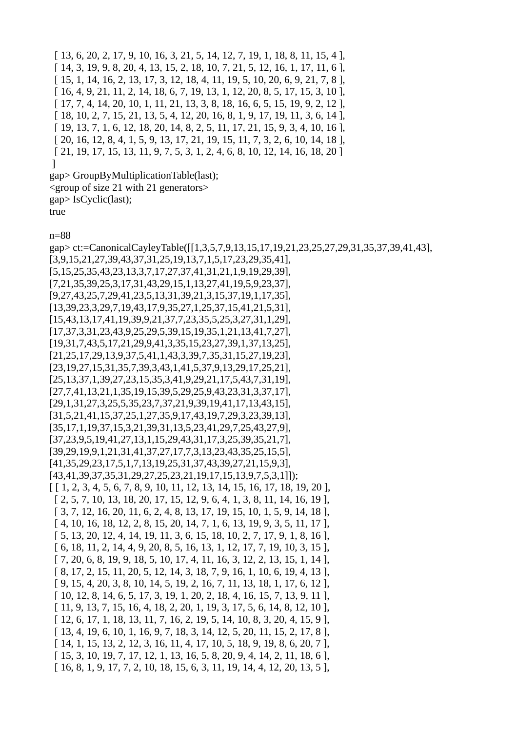[ 13, 6, 20, 2, 17, 9, 10, 16, 3, 21, 5, 14, 12, 7, 19, 1, 18, 8, 11, 15, 4 ], [ 14, 3, 19, 9, 8, 20, 4, 13, 15, 2, 18, 10, 7, 21, 5, 12, 16, 1, 17, 11, 6 ], [ 15, 1, 14, 16, 2, 13, 17, 3, 12, 18, 4, 11, 19, 5, 10, 20, 6, 9, 21, 7, 8 ], [ 16, 4, 9, 21, 11, 2, 14, 18, 6, 7, 19, 13, 1, 12, 20, 8, 5, 17, 15, 3, 10 ], [ 17, 7, 4, 14, 20, 10, 1, 11, 21, 13, 3, 8, 18, 16, 6, 5, 15, 19, 9, 2, 12 ], [ 18, 10, 2, 7, 15, 21, 13, 5, 4, 12, 20, 16, 8, 1, 9, 17, 19, 11, 3, 6, 14 ], [ 19, 13, 7, 1, 6, 12, 18, 20, 14, 8, 2, 5, 11, 17, 21, 15, 9, 3, 4, 10, 16 ], [ 20, 16, 12, 8, 4, 1, 5, 9, 13, 17, 21, 19, 15, 11, 7, 3, 2, 6, 10, 14, 18 ], [ 21, 19, 17, 15, 13, 11, 9, 7, 5, 3, 1, 2, 4, 6, 8, 10, 12, 14, 16, 18, 20 ] ]

gap> GroupByMultiplicationTable(last); <group of size 21 with 21 generators> gap> IsCyclic(last); true

n=88

gap> ct:=CanonicalCayleyTable([[1,3,5,7,9,13,15,17,19,21,23,25,27,29,31,35,37,39,41,43], [3,9,15,21,27,39,43,37,31,25,19,13,7,1,5,17,23,29,35,41], [5,15,25,35,43,23,13,3,7,17,27,37,41,31,21,1,9,19,29,39], [7,21,35,39,25,3,17,31,43,29,15,1,13,27,41,19,5,9,23,37], [9,27,43,25,7,29,41,23,5,13,31,39,21,3,15,37,19,1,17,35], [13,39,23,3,29,7,19,43,17,9,35,27,1,25,37,15,41,21,5,31], [15,43,13,17,41,19,39,9,21,37,7,23,35,5,25,3,27,31,1,29], [17,37,3,31,23,43,9,25,29,5,39,15,19,35,1,21,13,41,7,27], [19,31,7,43,5,17,21,29,9,41,3,35,15,23,27,39,1,37,13,25], [21,25,17,29,13,9,37,5,41,1,43,3,39,7,35,31,15,27,19,23], [23,19,27,15,31,35,7,39,3,43,1,41,5,37,9,13,29,17,25,21], [25,13,37,1,39,27,23,15,35,3,41,9,29,21,17,5,43,7,31,19], [27,7,41,13,21,1,35,19,15,39,5,29,25,9,43,23,31,3,37,17], [29,1,31,27,3,25,5,35,23,7,37,21,9,39,19,41,17,13,43,15], [31,5,21,41,15,37,25,1,27,35,9,17,43,19,7,29,3,23,39,13], [35,17,1,19,37,15,3,21,39,31,13,5,23,41,29,7,25,43,27,9], [37,23,9,5,19,41,27,13,1,15,29,43,31,17,3,25,39,35,21,7], [39,29,19,9,1,21,31,41,37,27,17,7,3,13,23,43,35,25,15,5], [41,35,29,23,17,5,1,7,13,19,25,31,37,43,39,27,21,15,9,3], [43,41,39,37,35,31,29,27,25,23,21,19,17,15,13,9,7,5,3,1]]); [ [ 1, 2, 3, 4, 5, 6, 7, 8, 9, 10, 11, 12, 13, 14, 15, 16, 17, 18, 19, 20 ], [ 2, 5, 7, 10, 13, 18, 20, 17, 15, 12, 9, 6, 4, 1, 3, 8, 11, 14, 16, 19 ], [ 3, 7, 12, 16, 20, 11, 6, 2, 4, 8, 13, 17, 19, 15, 10, 1, 5, 9, 14, 18 ],  $[4, 10, 16, 18, 12, 2, 8, 15, 20, 14, 7, 1, 6, 13, 19, 9, 3, 5, 11, 17]$  [ 5, 13, 20, 12, 4, 14, 19, 11, 3, 6, 15, 18, 10, 2, 7, 17, 9, 1, 8, 16 ], [ 6, 18, 11, 2, 14, 4, 9, 20, 8, 5, 16, 13, 1, 12, 17, 7, 19, 10, 3, 15 ], [ 7, 20, 6, 8, 19, 9, 18, 5, 10, 17, 4, 11, 16, 3, 12, 2, 13, 15, 1, 14 ], [ 8, 17, 2, 15, 11, 20, 5, 12, 14, 3, 18, 7, 9, 16, 1, 10, 6, 19, 4, 13 ], [ 9, 15, 4, 20, 3, 8, 10, 14, 5, 19, 2, 16, 7, 11, 13, 18, 1, 17, 6, 12 ], [ 10, 12, 8, 14, 6, 5, 17, 3, 19, 1, 20, 2, 18, 4, 16, 15, 7, 13, 9, 11 ], [ 11, 9, 13, 7, 15, 16, 4, 18, 2, 20, 1, 19, 3, 17, 5, 6, 14, 8, 12, 10 ], [ 12, 6, 17, 1, 18, 13, 11, 7, 16, 2, 19, 5, 14, 10, 8, 3, 20, 4, 15, 9 ], [ 13, 4, 19, 6, 10, 1, 16, 9, 7, 18, 3, 14, 12, 5, 20, 11, 15, 2, 17, 8 ], [ 14, 1, 15, 13, 2, 12, 3, 16, 11, 4, 17, 10, 5, 18, 9, 19, 8, 6, 20, 7 ], [ 15, 3, 10, 19, 7, 17, 12, 1, 13, 16, 5, 8, 20, 9, 4, 14, 2, 11, 18, 6 ], [ 16, 8, 1, 9, 17, 7, 2, 10, 18, 15, 6, 3, 11, 19, 14, 4, 12, 20, 13, 5 ],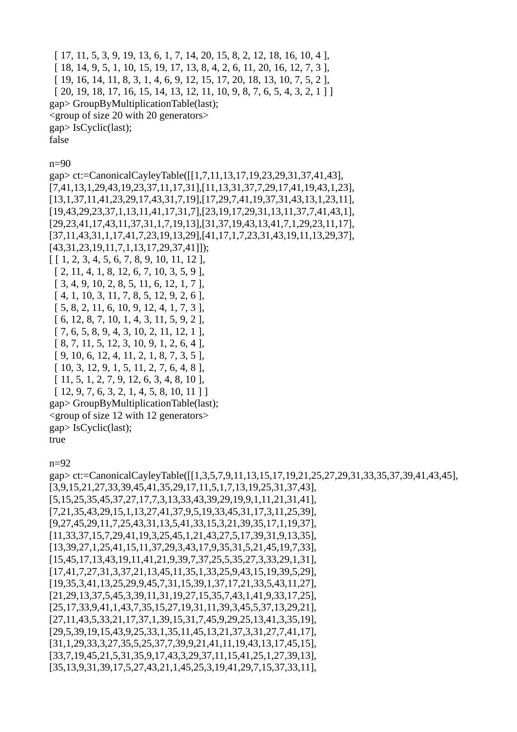[ 17, 11, 5, 3, 9, 19, 13, 6, 1, 7, 14, 20, 15, 8, 2, 12, 18, 16, 10, 4 ], [ 18, 14, 9, 5, 1, 10, 15, 19, 17, 13, 8, 4, 2, 6, 11, 20, 16, 12, 7, 3 ], [ 19, 16, 14, 11, 8, 3, 1, 4, 6, 9, 12, 15, 17, 20, 18, 13, 10, 7, 5, 2 ], [ 20, 19, 18, 17, 16, 15, 14, 13, 12, 11, 10, 9, 8, 7, 6, 5, 4, 3, 2, 1 ] ] gap> GroupByMultiplicationTable(last); <group of size 20 with 20 generators> gap> IsCyclic(last); false

n=90

gap> ct:=CanonicalCayleyTable([[1,7,11,13,17,19,23,29,31,37,41,43], [7,41,13,1,29,43,19,23,37,11,17,31],[11,13,31,37,7,29,17,41,19,43,1,23], [13,1,37,11,41,23,29,17,43,31,7,19],[17,29,7,41,19,37,31,43,13,1,23,11], [19,43,29,23,37,1,13,11,41,17,31,7],[23,19,17,29,31,13,11,37,7,41,43,1], [29,23,41,17,43,11,37,31,1,7,19,13],[31,37,19,43,13,41,7,1,29,23,11,17], [37,11,43,31,1,17,41,7,23,19,13,29],[41,17,1,7,23,31,43,19,11,13,29,37], [43,31,23,19,11,7,1,13,17,29,37,41]]); [ [ 1, 2, 3, 4, 5, 6, 7, 8, 9, 10, 11, 12 ], [ 2, 11, 4, 1, 8, 12, 6, 7, 10, 3, 5, 9 ], [ 3, 4, 9, 10, 2, 8, 5, 11, 6, 12, 1, 7 ], [ 4, 1, 10, 3, 11, 7, 8, 5, 12, 9, 2, 6 ], [ 5, 8, 2, 11, 6, 10, 9, 12, 4, 1, 7, 3 ], [ 6, 12, 8, 7, 10, 1, 4, 3, 11, 5, 9, 2 ], [ 7, 6, 5, 8, 9, 4, 3, 10, 2, 11, 12, 1 ], [ 8, 7, 11, 5, 12, 3, 10, 9, 1, 2, 6, 4 ], [ 9, 10, 6, 12, 4, 11, 2, 1, 8, 7, 3, 5 ], [ 10, 3, 12, 9, 1, 5, 11, 2, 7, 6, 4, 8 ], [ 11, 5, 1, 2, 7, 9, 12, 6, 3, 4, 8, 10 ],  $[12, 9, 7, 6, 3, 2, 1, 4, 5, 8, 10, 11]$ gap> GroupByMultiplicationTable(last); <group of size 12 with 12 generators> gap> IsCyclic(last); true

 $n=92$ 

gap> ct:=CanonicalCayleyTable([[1,3,5,7,9,11,13,15,17,19,21,25,27,29,31,33,35,37,39,41,43,45], [3,9,15,21,27,33,39,45,41,35,29,17,11,5,1,7,13,19,25,31,37,43], [5,15,25,35,45,37,27,17,7,3,13,33,43,39,29,19,9,1,11,21,31,41], [7,21,35,43,29,15,1,13,27,41,37,9,5,19,33,45,31,17,3,11,25,39], [9,27,45,29,11,7,25,43,31,13,5,41,33,15,3,21,39,35,17,1,19,37], [11,33,37,15,7,29,41,19,3,25,45,1,21,43,27,5,17,39,31,9,13,35], [13,39,27,1,25,41,15,11,37,29,3,43,17,9,35,31,5,21,45,19,7,33], [15,45,17,13,43,19,11,41,21,9,39,7,37,25,5,35,27,3,33,29,1,31], [17,41,7,27,31,3,37,21,13,45,11,35,1,33,25,9,43,15,19,39,5,29], [19,35,3,41,13,25,29,9,45,7,31,15,39,1,37,17,21,33,5,43,11,27], [21,29,13,37,5,45,3,39,11,31,19,27,15,35,7,43,1,41,9,33,17,25], [25,17,33,9,41,1,43,7,35,15,27,19,31,11,39,3,45,5,37,13,29,21], [27,11,43,5,33,21,17,37,1,39,15,31,7,45,9,29,25,13,41,3,35,19], [29,5,39,19,15,43,9,25,33,1,35,11,45,13,21,37,3,31,27,7,41,17], [31,1,29,33,3,27,35,5,25,37,7,39,9,21,41,11,19,43,13,17,45,15], [33,7,19,45,21,5,31,35,9,17,43,3,29,37,11,15,41,25,1,27,39,13], [35,13,9,31,39,17,5,27,43,21,1,45,25,3,19,41,29,7,15,37,33,11],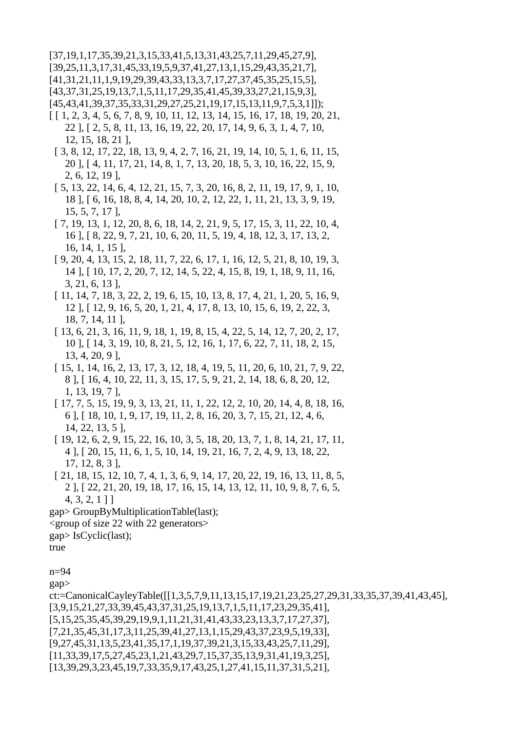$[37,19,1,17,35,39,21,3,15,33,41,5,13,31,43,25,7,11,29,45,27,9],$  $[39,25,11,3,17,31,45,33,19,5,9,37,41,27,13,1,15,29,43,35,21,7],$  $[41,31,21,11,1,9,19,29,39,43,33,13,3,7,17,27,37,45,35,25,15,5],$ [43,37,31,25,19,13,7,1,5,11,17,29,35,41,45,39,33,27,21,15,9,3],  $[45,43,41,39,37,35,33,31,29,27,25,21,19,17,15,13,11,9,7,5,3,1]]$ ;

- $[1, 2, 3, 4, 5, 6, 7, 8, 9, 10, 11, 12, 13, 14, 15, 16, 17, 18, 19, 20, 21,$ 22,  $\lceil$ ,  $\lceil$  2, 5, 8, 11, 13, 16, 19, 22, 20, 17, 14, 9, 6, 3, 1, 4, 7, 10, 12, 15, 18, 21],
- [ 3, 8, 12, 17, 22, 18, 13, 9, 4, 2, 7, 16, 21, 19, 14, 10, 5, 1, 6, 11, 15, 20, [4, 11, 17, 21, 14, 8, 1, 7, 13, 20, 18, 5, 3, 10, 16, 22, 15, 9,  $2, 6, 12, 19$ ],
- [ 5, 13, 22, 14, 6, 4, 12, 21, 15, 7, 3, 20, 16, 8, 2, 11, 19, 17, 9, 1, 10, 18,  $\begin{bmatrix} 6, 16, 18, 8, 4, 14, 20, 10, 2, 12, 22, 1, 11, 21, 13, 3, 9, 19, \end{bmatrix}$  $15, 5, 7, 17$ ],
- [7, 19, 13, 1, 12, 20, 8, 6, 18, 14, 2, 21, 9, 5, 17, 15, 3, 11, 22, 10, 4, 16, 14, 1, 15 ],
- [ 9, 20, 4, 13, 15, 2, 18, 11, 7, 22, 6, 17, 1, 16, 12, 5, 21, 8, 10, 19, 3, 14,  $\vert$ ,  $\vert$  10, 17, 2, 20, 7, 12, 14, 5, 22, 4, 15, 8, 19, 1, 18, 9, 11, 16,  $3, 21, 6, 13$ ],
- [11, 14, 7, 18, 3, 22, 2, 19, 6, 15, 10, 13, 8, 17, 4, 21, 1, 20, 5, 16, 9, 12, [12, 9, 16, 5, 20, 1, 21, 4, 17, 8, 13, 10, 15, 6, 19, 2, 22, 3, 18, 7, 14, 11 1.
- [13, 6, 21, 3, 16, 11, 9, 18, 1, 19, 8, 15, 4, 22, 5, 14, 12, 7, 20, 2, 17, 10, [14, 3, 19, 10, 8, 21, 5, 12, 16, 1, 17, 6, 22, 7, 11, 18, 2, 15,  $13, 4, 20, 9$ ],
- [15, 1, 14, 16, 2, 13, 17, 3, 12, 18, 4, 19, 5, 11, 20, 6, 10, 21, 7, 9, 22, 8, [16, 4, 10, 22, 11, 3, 15, 17, 5, 9, 21, 2, 14, 18, 6, 8, 20, 12,  $1, 13, 19, 7$ ],
- [17, 7, 5, 15, 19, 9, 3, 13, 21, 11, 1, 22, 12, 2, 10, 20, 14, 4, 8, 18, 16, 6], [18, 10, 1, 9, 17, 19, 11, 2, 8, 16, 20, 3, 7, 15, 21, 12, 4, 6,  $14, 22, 13, 5$ ],
- [19, 12, 6, 2, 9, 15, 22, 16, 10, 3, 5, 18, 20, 13, 7, 1, 8, 14, 21, 17, 11, 4, [20, 15, 11, 6, 1, 5, 10, 14, 19, 21, 16, 7, 2, 4, 9, 13, 18, 22,  $17, 12, 8, 3$ ],
- [21, 18, 15, 12, 10, 7, 4, 1, 3, 6, 9, 14, 17, 20, 22, 19, 16, 13, 11, 8, 5, 2], [22, 21, 20, 19, 18, 17, 16, 15, 14, 13, 12, 11, 10, 9, 8, 7, 6, 5,  $4, 3, 2, 1$ ]
- gap> GroupByMultiplicationTable(last);
- <group of size 22 with 22 generators>
- $gap > IsCyclicu$ st);

```
true
```

```
n=94
```
 $gap$ 

```
ct:=CanonicalCayleyTable([[1,3,5,7,9,11,13,15,17,19,21,23,25,27,29,31,33,35,37,39,41,43,45],
[3,9,15,21,27,33,39,45,43,37,31,25,19,13,7,1,5,11,17,23,29,35,41][5,15,25,35,45,39,29,19,9,1,11,21,31,41,43,33,23,13,3,7,17,27,37][7,21,35,45,31,17,3,11,25,39,41,27,13,1,15,29,43,37,23,9,5,19,33],[9.27.45.31.13.5.23.41.35.17.1.19.37.39.21.3.15.33.43.25.7.11.29].
[11, 33, 39, 17, 5, 27, 45, 23, 1, 21, 43, 29, 7, 15, 37, 35, 13, 9, 31, 41, 19, 3, 25],[13,39,29,3,23,45,19,7,33,35,9,17,43,25,1,27,41,15,11,37,31,5,21],
```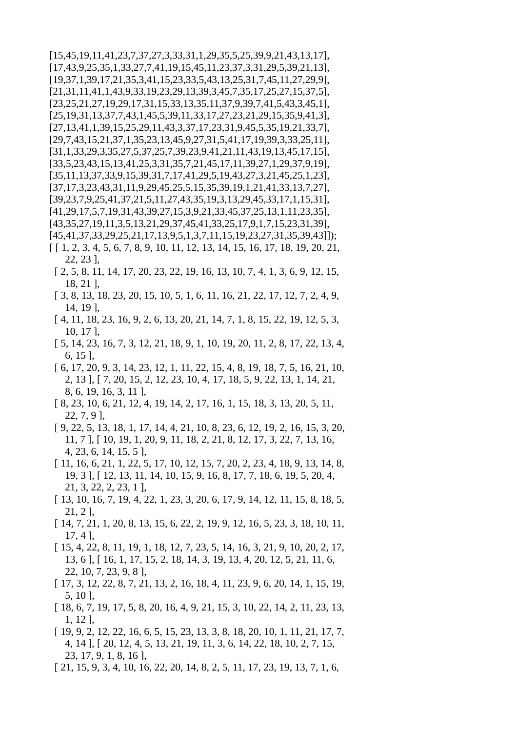$[15,45,19,11,41,23,7,37,27,3,33,31,1,29,35,5,25,39,9,21,43,13,17]$  $[17,43,9,25,35,1,33,27,7,41,19,15,45,11,23,37,3,31,29,5,39,21,13]$  $[19,37,1,39,17,21,35,3,41,15,23,33,5,43,13,25,31,7,45,11,27,29,9],$  $[21,31,11,41,1,43,9,33,19,23,29,13,39,3,45,7,35,17,25,27,15,37,5],$  $[23,25,21,27,19,29,17,31,15,33,13,35,11,37,9,39,7,41,5,43,3,45,1]$  $[25, 19, 31, 13, 37, 7, 43, 1, 45, 5, 39, 11, 33, 17, 27, 23, 21, 29, 15, 35, 9, 41, 3],$  $[27, 13, 41, 1, 39, 15, 25, 29, 11, 43, 3, 37, 17, 23, 31, 9, 45, 5, 35, 19, 21, 33, 7],$  $[29,7,43,15,21,37,1,35,23,13,45,9,27,31,5,41,17,19,39,3,33,25,11]$  $[31, 1, 33, 29, 3, 35, 27, 5, 37, 25, 7, 39, 23, 9, 41, 21, 11, 43, 19, 13, 45, 17, 15],$  $[33,5,23,43,15,13,41,25,3,31,35,7,21,45,17,11,39,27,1,29,37,9,19],$  $[35, 11, 13, 37, 33, 9, 15, 39, 31, 7, 17, 41, 29, 5, 19, 43, 27, 3, 21, 45, 25, 1, 23],$  $[37,17,3,23,43,31,11,9,29,45,25,5,15,35,39,19,1,21,41,33,13,7,27]$ [39, 23, 7, 9, 25, 41, 37, 21, 5, 11, 27, 43, 35, 19, 3, 13, 29, 45, 33, 17, 1, 15, 31],  $[41,29,17,5,7,19,31,43,39,27,15,3,9,21,33,45,37,25,13,1,11,23,35]$  $[43,35,27,19,11,3,5,13,21,29,37,45,41,33,25,17,9,1,7,15,23,31,39]$  $[45,41,37,33,29,25,21,17,13,9,5,1,3,7,11,15,19,23,27,31,35,39,43]]$ ;

- $[1, 2, 3, 4, 5, 6, 7, 8, 9, 10, 11, 12, 13, 14, 15, 16, 17, 18, 19, 20, 21,$  $22, 23$ ],
- [2, 5, 8, 11, 14, 17, 20, 23, 22, 19, 16, 13, 10, 7, 4, 1, 3, 6, 9, 12, 15,  $18, 21$ ],
- [ 3, 8, 13, 18, 23, 20, 15, 10, 5, 1, 6, 11, 16, 21, 22, 17, 12, 7, 2, 4, 9, 14, 19].
- [4, 11, 18, 23, 16, 9, 2, 6, 13, 20, 21, 14, 7, 1, 8, 15, 22, 19, 12, 5, 3,  $10, 17$ ],
- [ 5, 14, 23, 16, 7, 3, 12, 21, 18, 9, 1, 10, 19, 20, 11, 2, 8, 17, 22, 13, 4,  $6, 15$ ],
- [ 6, 17, 20, 9, 3, 14, 23, 12, 1, 11, 22, 15, 4, 8, 19, 18, 7, 5, 16, 21, 10, 2, 13 ], [7, 20, 15, 2, 12, 23, 10, 4, 17, 18, 5, 9, 22, 13, 1, 14, 21, 8, 6, 19, 16, 3, 11,
- [ 8, 23, 10, 6, 21, 12, 4, 19, 14, 2, 17, 16, 1, 15, 18, 3, 13, 20, 5, 11,  $22, 7, 9$ ],
- [ 9, 22, 5, 13, 18, 1, 17, 14, 4, 21, 10, 8, 23, 6, 12, 19, 2, 16, 15, 3, 20, 11, 7, [ 10, 19, 1, 20, 9, 11, 18, 2, 21, 8, 12, 17, 3, 22, 7, 13, 16, 4, 23, 6, 14, 15, 5],
- [11, 16, 6, 21, 1, 22, 5, 17, 10, 12, 15, 7, 20, 2, 23, 4, 18, 9, 13, 14, 8, 19, 3,  $\vert$  12, 13, 11, 14, 10, 15, 9, 16, 8, 17, 7, 18, 6, 19, 5, 20, 4,  $21, 3, 22, 2, 23, 1$ ],
- [13, 10, 16, 7, 19, 4, 22, 1, 23, 3, 20, 6, 17, 9, 14, 12, 11, 15, 8, 18, 5,  $21, 2$ ],
- [14, 7, 21, 1, 20, 8, 13, 15, 6, 22, 2, 19, 9, 12, 16, 5, 23, 3, 18, 10, 11,  $17, 4$ ],
- [15, 4, 22, 8, 11, 19, 1, 18, 12, 7, 23, 5, 14, 16, 3, 21, 9, 10, 20, 2, 17, 13, 6], [ 16, 1, 17, 15, 2, 18, 14, 3, 19, 13, 4, 20, 12, 5, 21, 11, 6, 22, 10, 7, 23, 9, 8],
- [17, 3, 12, 22, 8, 7, 21, 13, 2, 16, 18, 4, 11, 23, 9, 6, 20, 14, 1, 15, 19,  $5, 10$ ].
- [18, 6, 7, 19, 17, 5, 8, 20, 16, 4, 9, 21, 15, 3, 10, 22, 14, 2, 11, 23, 13,  $1, 12$ ,
- [19, 9, 2, 12, 22, 16, 6, 5, 15, 23, 13, 3, 8, 18, 20, 10, 1, 11, 21, 17, 7, 4, 14,  $\vert$ ,  $\vert$  20, 12, 4, 5, 13, 21, 19, 11, 3, 6, 14, 22, 18, 10, 2, 7, 15,  $23, 17, 9, 1, 8, 16$ ,
- $[21, 15, 9, 3, 4, 10, 16, 22, 20, 14, 8, 2, 5, 11, 17, 23, 19, 13, 7, 1, 6,$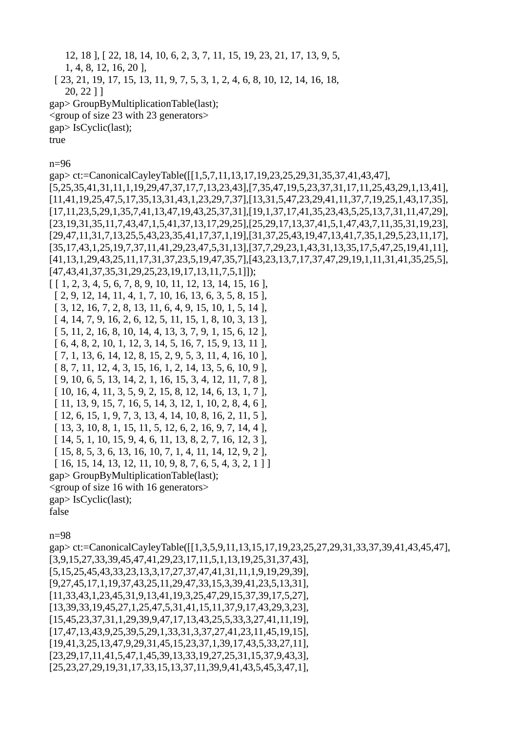12, 18 ], [ 22, 18, 14, 10, 6, 2, 3, 7, 11, 15, 19, 23, 21, 17, 13, 9, 5,

1, 4, 8, 12, 16, 20 ],

[ 23, 21, 19, 17, 15, 13, 11, 9, 7, 5, 3, 1, 2, 4, 6, 8, 10, 12, 14, 16, 18,

20, 22 ] ]

```
gap> GroupByMultiplicationTable(last);
```
<group of size 23 with 23 generators>

gap> IsCyclic(last);

true

n=96

gap> ct:=CanonicalCayleyTable([[1,5,7,11,13,17,19,23,25,29,31,35,37,41,43,47], [5,25,35,41,31,11,1,19,29,47,37,17,7,13,23,43],[7,35,47,19,5,23,37,31,17,11,25,43,29,1,13,41], [11,41,19,25,47,5,17,35,13,31,43,1,23,29,7,37],[13,31,5,47,23,29,41,11,37,7,19,25,1,43,17,35], [17,11,23,5,29,1,35,7,41,13,47,19,43,25,37,31],[19,1,37,17,41,35,23,43,5,25,13,7,31,11,47,29], [23,19,31,35,11,7,43,47,1,5,41,37,13,17,29,25],[25,29,17,13,37,41,5,1,47,43,7,11,35,31,19,23], [29,47,11,31,7,13,25,5,43,23,35,41,17,37,1,19],[31,37,25,43,19,47,13,41,7,35,1,29,5,23,11,17], [35,17,43,1,25,19,7,37,11,41,29,23,47,5,31,13],[37,7,29,23,1,43,31,13,35,17,5,47,25,19,41,11], [41,13,1,29,43,25,11,17,31,37,23,5,19,47,35,7],[43,23,13,7,17,37,47,29,19,1,11,31,41,35,25,5], [47,43,41,37,35,31,29,25,23,19,17,13,11,7,5,1]]); [ [ 1, 2, 3, 4, 5, 6, 7, 8, 9, 10, 11, 12, 13, 14, 15, 16 ], [ 2, 9, 12, 14, 11, 4, 1, 7, 10, 16, 13, 6, 3, 5, 8, 15 ], [ 3, 12, 16, 7, 2, 8, 13, 11, 6, 4, 9, 15, 10, 1, 5, 14 ], [ 4, 14, 7, 9, 16, 2, 6, 12, 5, 11, 15, 1, 8, 10, 3, 13 ], [ 5, 11, 2, 16, 8, 10, 14, 4, 13, 3, 7, 9, 1, 15, 6, 12 ], [ 6, 4, 8, 2, 10, 1, 12, 3, 14, 5, 16, 7, 15, 9, 13, 11 ], [ 7, 1, 13, 6, 14, 12, 8, 15, 2, 9, 5, 3, 11, 4, 16, 10 ], [ 8, 7, 11, 12, 4, 3, 15, 16, 1, 2, 14, 13, 5, 6, 10, 9 ], [ 9, 10, 6, 5, 13, 14, 2, 1, 16, 15, 3, 4, 12, 11, 7, 8 ], [ 10, 16, 4, 11, 3, 5, 9, 2, 15, 8, 12, 14, 6, 13, 1, 7 ], [ 11, 13, 9, 15, 7, 16, 5, 14, 3, 12, 1, 10, 2, 8, 4, 6 ], [ 12, 6, 15, 1, 9, 7, 3, 13, 4, 14, 10, 8, 16, 2, 11, 5 ], [ 13, 3, 10, 8, 1, 15, 11, 5, 12, 6, 2, 16, 9, 7, 14, 4 ], [ 14, 5, 1, 10, 15, 9, 4, 6, 11, 13, 8, 2, 7, 16, 12, 3 ], [ 15, 8, 5, 3, 6, 13, 16, 10, 7, 1, 4, 11, 14, 12, 9, 2 ], [ 16, 15, 14, 13, 12, 11, 10, 9, 8, 7, 6, 5, 4, 3, 2, 1 ] ] gap> GroupByMultiplicationTable(last); <group of size 16 with 16 generators> gap> IsCyclic(last); false n=98

gap> ct:=CanonicalCayleyTable([[1,3,5,9,11,13,15,17,19,23,25,27,29,31,33,37,39,41,43,45,47], [3,9,15,27,33,39,45,47,41,29,23,17,11,5,1,13,19,25,31,37,43], [5,15,25,45,43,33,23,13,3,17,27,37,47,41,31,11,1,9,19,29,39], [9,27,45,17,1,19,37,43,25,11,29,47,33,15,3,39,41,23,5,13,31], [11,33,43,1,23,45,31,9,13,41,19,3,25,47,29,15,37,39,17,5,27], [13,39,33,19,45,27,1,25,47,5,31,41,15,11,37,9,17,43,29,3,23], [15,45,23,37,31,1,29,39,9,47,17,13,43,25,5,33,3,27,41,11,19], [17,47,13,43,9,25,39,5,29,1,33,31,3,37,27,41,23,11,45,19,15], [19,41,3,25,13,47,9,29,31,45,15,23,37,1,39,17,43,5,33,27,11], [23,29,17,11,41,5,47,1,45,39,13,33,19,27,25,31,15,37,9,43,3], [25,23,27,29,19,31,17,33,15,13,37,11,39,9,41,43,5,45,3,47,1],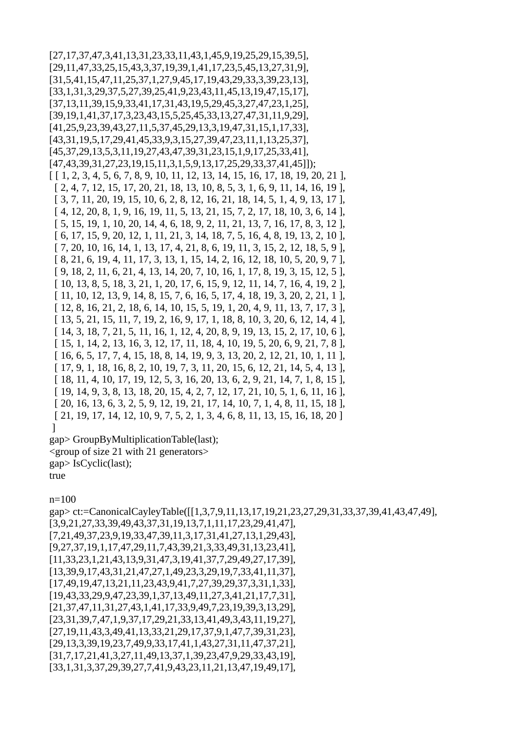[27,17,37,47,3,41,13,31,23,33,11,43,1,45,9,19,25,29,15,39,5], [29,11,47,33,25,15,43,3,37,19,39,1,41,17,23,5,45,13,27,31,9], [31,5,41,15,47,11,25,37,1,27,9,45,17,19,43,29,33,3,39,23,13], [33,1,31,3,29,37,5,27,39,25,41,9,23,43,11,45,13,19,47,15,17], [37,13,11,39,15,9,33,41,17,31,43,19,5,29,45,3,27,47,23,1,25], [39,19,1,41,37,17,3,23,43,15,5,25,45,33,13,27,47,31,11,9,29], [41,25,9,23,39,43,27,11,5,37,45,29,13,3,19,47,31,15,1,17,33], [43,31,19,5,17,29,41,45,33,9,3,15,27,39,47,23,11,1,13,25,37], [45,37,29,13,5,3,11,19,27,43,47,39,31,23,15,1,9,17,25,33,41], [47,43,39,31,27,23,19,15,11,3,1,5,9,13,17,25,29,33,37,41,45]]); [ [ 1, 2, 3, 4, 5, 6, 7, 8, 9, 10, 11, 12, 13, 14, 15, 16, 17, 18, 19, 20, 21 ], [ 2, 4, 7, 12, 15, 17, 20, 21, 18, 13, 10, 8, 5, 3, 1, 6, 9, 11, 14, 16, 19 ], [ 3, 7, 11, 20, 19, 15, 10, 6, 2, 8, 12, 16, 21, 18, 14, 5, 1, 4, 9, 13, 17 ], [ 4, 12, 20, 8, 1, 9, 16, 19, 11, 5, 13, 21, 15, 7, 2, 17, 18, 10, 3, 6, 14 ], [ 5, 15, 19, 1, 10, 20, 14, 4, 6, 18, 9, 2, 11, 21, 13, 7, 16, 17, 8, 3, 12 ], [ 6, 17, 15, 9, 20, 12, 1, 11, 21, 3, 14, 18, 7, 5, 16, 4, 8, 19, 13, 2, 10 ], [ 7, 20, 10, 16, 14, 1, 13, 17, 4, 21, 8, 6, 19, 11, 3, 15, 2, 12, 18, 5, 9 ], [ 8, 21, 6, 19, 4, 11, 17, 3, 13, 1, 15, 14, 2, 16, 12, 18, 10, 5, 20, 9, 7 ], [ 9, 18, 2, 11, 6, 21, 4, 13, 14, 20, 7, 10, 16, 1, 17, 8, 19, 3, 15, 12, 5 ], [ 10, 13, 8, 5, 18, 3, 21, 1, 20, 17, 6, 15, 9, 12, 11, 14, 7, 16, 4, 19, 2 ], [ 11, 10, 12, 13, 9, 14, 8, 15, 7, 6, 16, 5, 17, 4, 18, 19, 3, 20, 2, 21, 1 ], [ 12, 8, 16, 21, 2, 18, 6, 14, 10, 15, 5, 19, 1, 20, 4, 9, 11, 13, 7, 17, 3 ], [ 13, 5, 21, 15, 11, 7, 19, 2, 16, 9, 17, 1, 18, 8, 10, 3, 20, 6, 12, 14, 4 ], [ 14, 3, 18, 7, 21, 5, 11, 16, 1, 12, 4, 20, 8, 9, 19, 13, 15, 2, 17, 10, 6 ], [ 15, 1, 14, 2, 13, 16, 3, 12, 17, 11, 18, 4, 10, 19, 5, 20, 6, 9, 21, 7, 8 ], [ 16, 6, 5, 17, 7, 4, 15, 18, 8, 14, 19, 9, 3, 13, 20, 2, 12, 21, 10, 1, 11 ], [ 17, 9, 1, 18, 16, 8, 2, 10, 19, 7, 3, 11, 20, 15, 6, 12, 21, 14, 5, 4, 13 ], [ 18, 11, 4, 10, 17, 19, 12, 5, 3, 16, 20, 13, 6, 2, 9, 21, 14, 7, 1, 8, 15 ], [ 19, 14, 9, 3, 8, 13, 18, 20, 15, 4, 2, 7, 12, 17, 21, 10, 5, 1, 6, 11, 16 ], [ 20, 16, 13, 6, 3, 2, 5, 9, 12, 19, 21, 17, 14, 10, 7, 1, 4, 8, 11, 15, 18 ], [ 21, 19, 17, 14, 12, 10, 9, 7, 5, 2, 1, 3, 4, 6, 8, 11, 13, 15, 16, 18, 20 ] ]

gap> GroupByMultiplicationTable(last); <group of size 21 with 21 generators> gap> IsCyclic(last); true

## n=100

gap> ct:=CanonicalCayleyTable([[1,3,7,9,11,13,17,19,21,23,27,29,31,33,37,39,41,43,47,49], [3,9,21,27,33,39,49,43,37,31,19,13,7,1,11,17,23,29,41,47], [7,21,49,37,23,9,19,33,47,39,11,3,17,31,41,27,13,1,29,43], [9,27,37,19,1,17,47,29,11,7,43,39,21,3,33,49,31,13,23,41], [11,33,23,1,21,43,13,9,31,47,3,19,41,37,7,29,49,27,17,39], [13,39,9,17,43,31,21,47,27,1,49,23,3,29,19,7,33,41,11,37], [17,49,19,47,13,21,11,23,43,9,41,7,27,39,29,37,3,31,1,33], [19,43,33,29,9,47,23,39,1,37,13,49,11,27,3,41,21,17,7,31], [21,37,47,11,31,27,43,1,41,17,33,9,49,7,23,19,39,3,13,29], [23,31,39,7,47,1,9,37,17,29,21,33,13,41,49,3,43,11,19,27], [27,19,11,43,3,49,41,13,33,21,29,17,37,9,1,47,7,39,31,23], [29,13,3,39,19,23,7,49,9,33,17,41,1,43,27,31,11,47,37,21], [31,7,17,21,41,3,27,11,49,13,37,1,39,23,47,9,29,33,43,19], [33,1,31,3,37,29,39,27,7,41,9,43,23,11,21,13,47,19,49,17],